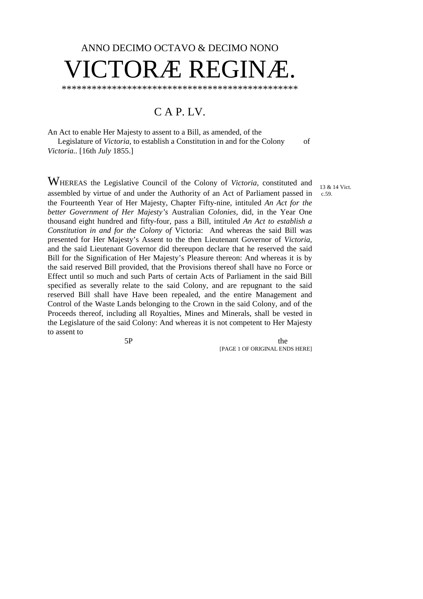# ANNO DECIMO OCTAVO & DECIMO NONO  $NORÆ$  REG

\*\*\*\*\*\*\*\*\*\*\*\*\*\*\*\*\*\*\*\*\*\*\*\*\*\*\*\*\*\*\*\*\*\*\*\*\*\*\*\*\*\*\*\*\*\*\*

# C A P. LV.

An Act to enable Her Majesty to assent to a Bill, as amended, of the Legislature of *Victoria*, to establish a Constitution in and for the Colony of *Victoria..* [16th *July* 1855.]

> 13 & 14 Vict. c.59.

WHEREAS the Legislative Council of the Colony of *Victoria*, constituted and assembled by virtue of and under the Authority of an Act of Parliament passed in the Fourteenth Year of Her Majesty, Chapter Fifty-nine, intituled *An Act for the better Government of Her Majesty's* Australian *Colonies,* did, in the Year One thousand eight hundred and fifty-four, pass a Bill, intituled *An Act to establish a Constitution in and for the Colony of* Victoria: And whereas the said Bill was presented for Her Majesty's Assent to the then Lieutenant Governor of *Victoria,* and the said Lieutenant Governor did thereupon declare that he reserved the said Bill for the Signification of Her Majesty's Pleasure thereon: And whereas it is by the said reserved Bill provided, that the Provisions thereof shall have no Force or Effect until so much and such Parts of certain Acts of Parliament in the said Bill specified as severally relate to the said Colony, and are repugnant to the said reserved Bill shall have Have been repealed, and the entire Management and Control of the Waste Lands belonging to the Crown in the said Colony, and of the Proceeds thereof, including all Royalties, Mines and Minerals, shall be vested in the Legislature of the said Colony: And whereas it is not competent to Her Majesty to assent to

5P the state of the state of the state of the state of the state of the state of the state of the state of the state of the state of the state of the state of the state of the state of the state of the state of the state o [PAGE 1 OF ORIGINAL ENDS HERE]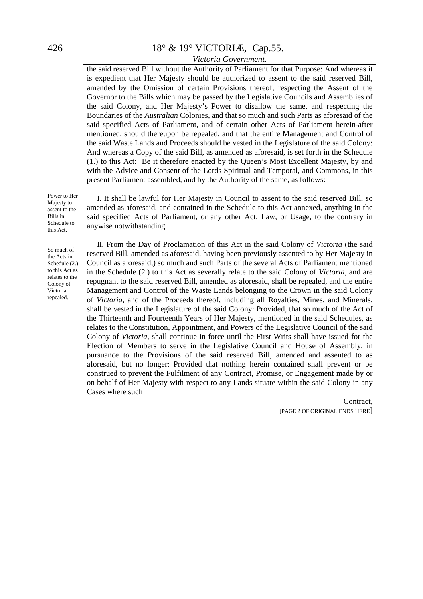# *Victoria Government.*

the said reserved Bill without the Authority of Parliament for that Purpose: And whereas it is expedient that Her Majesty should be authorized to assent to the said reserved Bill, amended by the Omission of certain Provisions thereof, respecting the Assent of the Governor to the Bills which may be passed by the Legislative Councils and Assemblies of the said Colony, and Her Majesty's Power to disallow the same, and respecting the Boundaries of the *Australian* Colonies, and that so much and such Parts as aforesaid of the said specified Acts of Parliament, and of certain other Acts of Parliament herein-after mentioned, should thereupon be repealed, and that the entire Management and Control of the said Waste Lands and Proceeds should be vested in the Legislature of the said Colony: And whereas a Copy of the said Bill, as amended as aforesaid, is set forth in the Schedule (1.) to this Act: Be it therefore enacted by the Queen's Most Excellent Majesty, by and with the Advice and Consent of the Lords Spiritual and Temporal, and Commons, in this present Parliament assembled, and by the Authority of the same, as follows:

Power to Her Majesty to assent to the Bills in Schedule to this Act.

I. It shall be lawful for Her Majesty in Council to assent to the said reserved Bill, so amended as aforesaid, and contained in the Schedule to this Act annexed, anything in the said specified Acts of Parliament, or any other Act, Law, or Usage, to the contrary in anywise notwithstanding.

So much of the Acts in Schedule (2.) to this Act as relates to the Colony of Victoria repealed.

II. From the Day of Proclamation of this Act in the said Colony of *Victoria* (the said reserved Bill, amended as aforesaid, having been previously assented to by Her Majesty in Council as aforesaid,) so much and such Parts of the several Acts of Parliament mentioned in the Schedule (2.) to this Act as severally relate to the said Colony of *Victoria*, and are repugnant to the said reserved Bill, amended as aforesaid, shall be repealed, and the entire Management and Control of the Waste Lands belonging to the Crown in the said Colony of *Victoria,* and of the Proceeds thereof, including all Royalties, Mines, and Minerals, shall be vested in the Legislature of the said Colony: Provided, that so much of the Act of the Thirteenth and Fourteenth Years of Her Majesty, mentioned in the said Schedules, as relates to the Constitution, Appointment, and Powers of the Legislative Council of the said Colony of *Victoria,* shall continue in force until the First Writs shall have issued for the Election of Members to serve in the Legislative Council and House of Assembly, in pursuance to the Provisions of the said reserved Bill, amended and assented to as aforesaid, but no longer: Provided that nothing herein contained shall prevent or be construed to prevent the Fulfilment of any Contract, Promise, or Engagement made by or on behalf of Her Majesty with respect to any Lands situate within the said Colony in any Cases where such

> Contract, [PAGE 2 OF ORIGINAL ENDS HERE]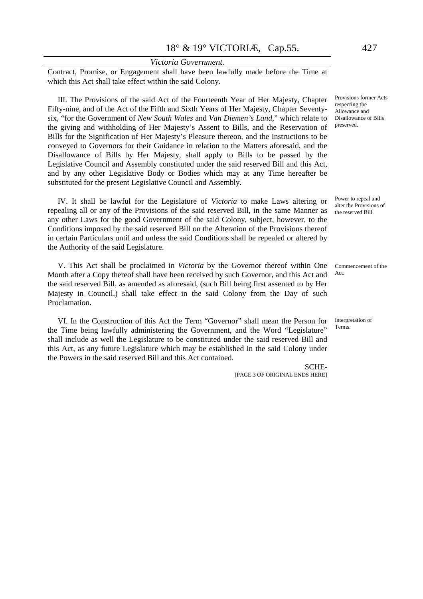Contract, Promise, or Engagement shall have been lawfully made before the Time at which this Act shall take effect within the said Colony.

III. The Provisions of the said Act of the Fourteenth Year of Her Majesty, Chapter Fifty-nine, and of the Act of the Fifth and Sixth Years of Her Majesty, Chapter Seventysix, "for the Government of *New South Wales* and *Van Diemen's Land,*" which relate to the giving and withholding of Her Majesty's Assent to Bills, and the Reservation of Bills for the Signification of Her Majesty's Pleasure thereon, and the Instructions to be conveyed to Governors for their Guidance in relation to the Matters aforesaid, and the Disallowance of Bills by Her Majesty, shall apply to Bills to be passed by the Legislative Council and Assembly constituted under the said reserved Bill and this Act, and by any other Legislative Body or Bodies which may at any Time hereafter be substituted for the present Legislative Council and Assembly.

IV. It shall be lawful for the Legislature of *Victoria* to make Laws altering or repealing all or any of the Provisions of the said reserved Bill, in the same Manner as any other Laws for the good Government of the said Colony, subject, however, to the Conditions imposed by the said reserved Bill on the Alteration of the Provisions thereof in certain Particulars until and unless the said Conditions shall be repealed or altered by the Authority of the said Legislature.

V. This Act shall be proclaimed in *Victoria* by the Governor thereof within One Month after a Copy thereof shall have been received by such Governor, and this Act and the said reserved Bill, as amended as aforesaid, (such Bill being first assented to by Her Majesty in Council,) shall take effect in the said Colony from the Day of such Proclamation.

VI. In the Construction of this Act the Term "Governor" shall mean the Person for the Time being lawfully administering the Government, and the Word "Legislature" shall include as well the Legislature to be constituted under the said reserved Bill and this Act, as any future Legislature which may be established in the said Colony under the Powers in the said reserved Bill and this Act contained.

[PAGE 3 OF ORIGINAL ENDS HERE]

SCHE-

Provisions former Acts respecting the Allowance and Disallowance of Bills preserved.

Power to repeal and alter the Provisions of the reserved Bill.

Commencement of the Act.

Interpretation of Terms.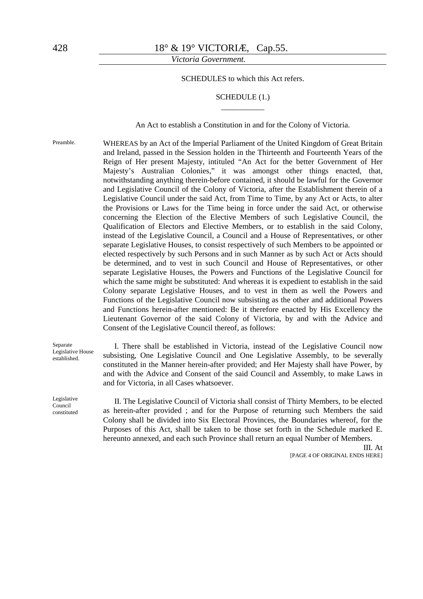SCHEDULES to which this Act refers.

#### SCHEDULE (1.) \_\_\_\_\_\_\_\_\_\_\_

An Act to establish a Constitution in and for the Colony of Victoria.

Preamble. WHEREAS by an Act of the Imperial Parliament of the United Kingdom of Great Britain and Ireland, passed in the Session holden in the Thirteenth and Fourteenth Years of the Reign of Her present Majesty, intituled "An Act for the better Government of Her Majesty's Australian Colonies," it was amongst other things enacted, that, notwithstanding anything therein-before contained, it should be lawful for the Governor and Legislative Council of the Colony of Victoria, after the Establishment therein of a Legislative Council under the said Act, from Time to Time, by any Act or Acts, to alter the Provisions or Laws for the Time being in force under the said Act, or otherwise concerning the Election of the Elective Members of such Legislative Council, the Qualification of Electors and Elective Members, or to establish in the said Colony, instead of the Legislative Council, a Council and a House of Representatives, or other separate Legislative Houses, to consist respectively of such Members to be appointed or elected respectively by such Persons and in such Manner as by such Act or Acts should be determined, and to vest in such Council and House of Representatives, or other separate Legislative Houses, the Powers and Functions of the Legislative Council for which the same might be substituted: And whereas it is expedient to establish in the said Colony separate Legislative Houses, and to vest in them as well the Powers and Functions of the Legislative Council now subsisting as the other and additional Powers and Functions herein-after mentioned: Be it therefore enacted by His Excellency the Lieutenant Governor of the said Colony of Victoria, by and with the Advice and Consent of the Legislative Council thereof, as follows:

Separate Legislative House established.

Legislative Council constituted

I. There shall be established in Victoria, instead of the Legislative Council now subsisting, One Legislative Council and One Legislative Assembly, to be severally constituted in the Manner herein-after provided; and Her Majesty shall have Power, by and with the Advice and Consent of the said Council and Assembly, to make Laws in and for Victoria, in all Cases whatsoever.

II. The Legislative Council of Victoria shall consist of Thirty Members, to be elected as herein-after provided ; and for the Purpose of returning such Members the said Colony shall be divided into Six Electoral Provinces, the Boundaries whereof, for the Purposes of this Act, shall be taken to be those set forth in the Schedule marked E. hereunto annexed, and each such Province shall return an equal Number of Members.

> III. At [PAGE 4 OF ORIGINAL ENDS HERE]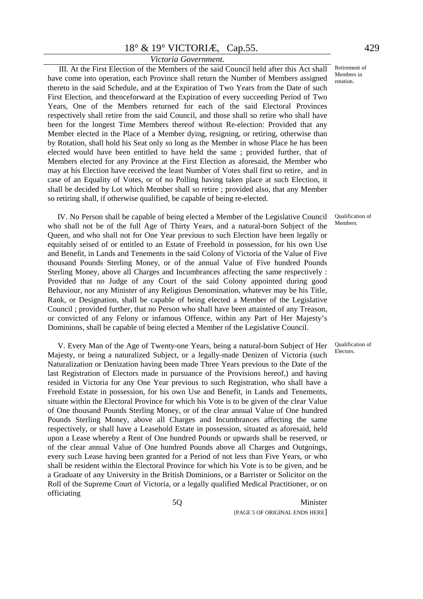# *Victoria Government.*

III. At the First Election of the Members of the said Council held after this Act shall have come into operation, each Province shall return the Number of Members assigned thereto in the said Schedule, and at the Expiration of Two Years from the Date of such First Election, and thenceforward at the Expiration of every succeeding Period of Two Years, One of the Members returned for each of the said Electoral Provinces respectively shall retire from the said Council, and those shall so retire who shall have been for the longest Time Members thereof without Re-election: Provided that any Member elected in the Place of a Member dying, resigning, or retiring, otherwise than by Rotation, shall hold his Seat only so long as the Member in whose Place he has been elected would have been entitled to have held the same ; provided further, that of Members elected for any Province at the First Election as aforesaid, the Member who may at his Election have received the least Number of Votes shall first so retire, and in case of an Equality of Votes, or of no Polling having taken place at such Election, it shall be decided by Lot which Member shall so retire ; provided also, that any Member so retiring shall, if otherwise qualified, be capable of being re-elected.

 IV. No Person shall be capable of being elected a Member of the Legislative Council who shall not be of the full Age of Thirty Years, and a natural-born Subject of the Queen, and who shall not for One Year previous to such Election have been legally or equitably seised of or entitled to an Estate of Freehold in possession, for his own Use and Benefit, in Lands and Tenements in the said Colony of Victoria of the Value of Five thousand Pounds Sterling Money, or of the annual Value of Five hundred Pounds Sterling Money, above all Charges and Incumbrances affecting the same respectively : Provided that no Judge of any Court of the said Colony appointed during good Behaviour, nor any Minister of any Religious Denomination, whatever may be his Title, Rank, or Designation, shall be capable of being elected a Member of the Legislative Council ; provided further, that no Person who shall have been attainted of any Treason, or convicted of any Felony or infamous Offence, within any Part of Her Majesty's Dominions, shall be capable of being elected a Member of the Legislative Council.

V. Every Man of the Age of Twenty-one Years, being a natural-born Subject of Her Majesty, or being a naturalized Subject, or a legally-made Denizen of Victoria (such Naturalization or Denization having been made Three Years previous to the Date of the last Registration of Electors made in pursuance of the Provisions hereof,) and having resided in Victoria for any One Year previous to such Registration, who shall have a Freehold Estate in possession, for his own Use and Benefit, in Lands and Tenements, situate within the Electoral Province for which his Vote is to be given of the clear Value of One thousand Pounds Sterling Money, or of the clear annual Value of One hundred Pounds Sterling Money, above all Charges and Incumbrances affecting the same respectively, or shall have a Leasehold Estate in possession, situated as aforesaid, held upon a Lease whereby a Rent of One hundred Pounds or upwards shall be reserved, or of the clear annual Value of One hundred Pounds above all Charges and Outgoings, every such Lease having been granted for a Period of not less than Five Years, or who shall be resident within the Electoral Province for which his Vote is to be given, and be a Graduate of any University in the British Dominions, or a Barrister or Solicitor on the Roll of the Supreme Court of Victoria, or a legally qualified Medical Practitioner, or on officiating

Qualification of Members.

Qualification of Electors.

Retirement of Members in rotation.

5Q Minister [PAGE 5 OF ORIGINAL ENDS HERE]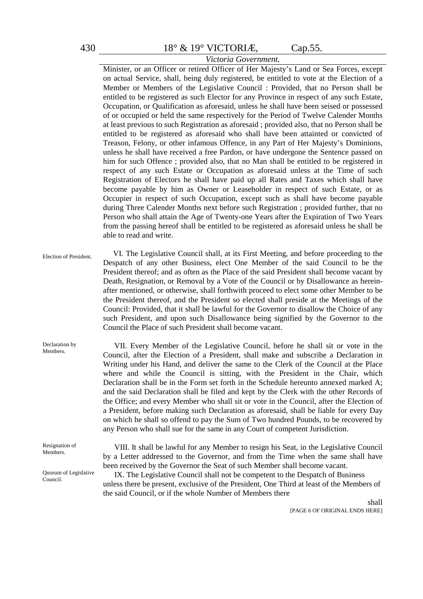### Minister, or an Officer or retired Officer of Her Majesty's Land or Sea Forces, except on actual Service, shall, being duly registered, be entitled to vote at the Election of a Member or Members of the Legislative Council : Provided, that no Person shall be entitled to be registered as such Elector for any Province in respect of any such Estate, Occupation, or Qualification as aforesaid, unless he shall have been seised or possessed of or occupied or held the same respectively for the Period of Twelve Calender Months at least previous to such Registration as aforesaid ; provided also, that no Person shall be entitled to be registered as aforesaid who shall have been attainted or convicted of Treason, Felony, or other infamous Offence, in any Part of Her Majesty's Dominions, unless he shall have received a free Pardon, or have undergone the Sentence passed on him for such Offence ; provided also, that no Man shall be entitled to be registered in respect of any such Estate or Occupation as aforesaid unless at the Time of such Registration of Electors he shall have paid up all Rates and Taxes which shall have become payable by him as Owner or Leaseholder in respect of such Estate, or as Occupier in respect of such Occupation, except such as shall have become payable during Three Calender Months next before such Registration ; provided further, that no Person who shall attain the Age of Twenty-one Years after the Expiration of Two Years from the passing hereof shall be entitled to be registered as aforesaid unless he shall be able to read and write.

*Victoria Government.*

| Election of President.     | VI. The Legislative Council shall, at its First Meeting, and before proceeding to the<br>Despatch of any other Business, elect One Member of the said Council to be the<br>President thereof; and as often as the Place of the said President shall become vacant by<br>Death, Resignation, or Removal by a Vote of the Council or by Disallowance as herein-<br>after mentioned, or otherwise, shall forthwith proceed to elect some other Member to be<br>the President thereof, and the President so elected shall preside at the Meetings of the<br>Council: Provided, that it shall be lawful for the Governor to disallow the Choice of any<br>such President, and upon such Disallowance being signified by the Governor to the<br>Council the Place of such President shall become vacant.                                                                                                       |
|----------------------------|----------------------------------------------------------------------------------------------------------------------------------------------------------------------------------------------------------------------------------------------------------------------------------------------------------------------------------------------------------------------------------------------------------------------------------------------------------------------------------------------------------------------------------------------------------------------------------------------------------------------------------------------------------------------------------------------------------------------------------------------------------------------------------------------------------------------------------------------------------------------------------------------------------|
| Declaration by<br>Members. | VII. Every Member of the Legislative Council, before he shall sit or vote in the<br>Council, after the Election of a President, shall make and subscribe a Declaration in<br>Writing under his Hand, and deliver the same to the Clerk of the Council at the Place<br>where and while the Council is sitting, with the President in the Chair, which<br>Declaration shall be in the Form set forth in the Schedule hereunto annexed marked A;<br>and the said Declaration shall be filed and kept by the Clerk with the other Records of<br>the Office; and every Member who shall sit or vote in the Council, after the Election of<br>a President, before making such Declaration as aforesaid, shall be liable for every Day<br>on which he shall so offend to pay the Sum of Two hundred Pounds, to be recovered by<br>any Person who shall sue for the same in any Court of competent Jurisdiction. |
| Resignation of<br>Members. | VIII. It shall be lawful for any Member to resign his Seat, in the Legislative Council<br>by a Letter addressed to the Governor, and from the Time when the same shall have<br>been received by the Governor the Seat of such Member shall become vacant.                                                                                                                                                                                                                                                                                                                                                                                                                                                                                                                                                                                                                                                |

Quorum of Legislative Council.

IX. The Legislative Council shall not be competent to the Despatch of Business unless there be present, exclusive of the President, One Third at least of the Members of the said Council, or if the whole Number of Members there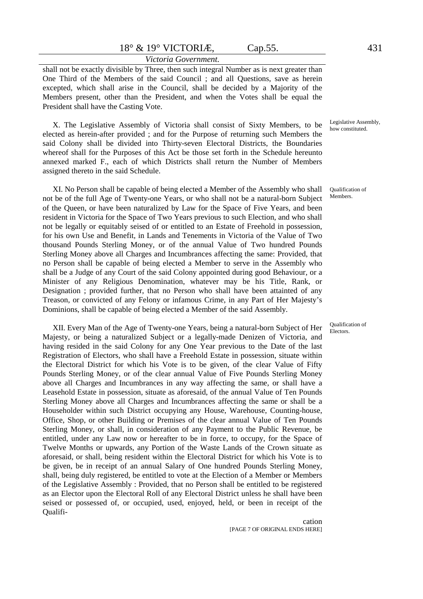#### *Victoria Government.*

shall not be exactly divisible by Three, then such integral Number as is next greater than One Third of the Members of the said Council ; and all Questions, save as herein excepted, which shall arise in the Council, shall be decided by a Majority of the Members present, other than the President, and when the Votes shall be equal the President shall have the Casting Vote.

X. The Legislative Assembly of Victoria shall consist of Sixty Members, to be elected as herein-after provided ; and for the Purpose of returning such Members the said Colony shall be divided into Thirty-seven Electoral Districts, the Boundaries whereof shall for the Purposes of this Act be those set forth in the Schedule hereunto annexed marked F., each of which Districts shall return the Number of Members assigned thereto in the said Schedule.

XI. No Person shall be capable of being elected a Member of the Assembly who shall not be of the full Age of Twenty-one Years, or who shall not be a natural-born Subject of the Queen, or have been naturalized by Law for the Space of Five Years, and been resident in Victoria for the Space of Two Years previous to such Election, and who shall not be legally or equitably seised of or entitled to an Estate of Freehold in possession, for his own Use and Benefit, in Lands and Tenements in Victoria of the Value of Two thousand Pounds Sterling Money, or of the annual Value of Two hundred Pounds Sterling Money above all Charges and Incumbrances affecting the same: Provided, that no Person shall be capable of being elected a Member to serve in the Assembly who shall be a Judge of any Court of the said Colony appointed during good Behaviour, or a Minister of any Religious Denomination, whatever may be his Title, Rank, or Designation ; provided further, that no Person who shall have been attainted of any Treason, or convicted of any Felony or infamous Crime, in any Part of Her Majesty's Dominions, shall be capable of being elected a Member of the said Assembly.

XII. Every Man of the Age of Twenty-one Years, being a natural-born Subject of Her Majesty, or being a naturalized Subject or a legally-made Denizen of Victoria, and having resided in the said Colony for any One Year previous to the Date of the last Registration of Electors, who shall have a Freehold Estate in possession, situate within the Electoral District for which his Vote is to be given, of the clear Value of Fifty Pounds Sterling Money, or of the clear annual Value of Five Pounds Sterling Money above all Charges and Incumbrances in any way affecting the same, or shall have a Leasehold Estate in possession, situate as aforesaid, of the annual Value of Ten Pounds Sterling Money above all Charges and Incumbrances affecting the same or shall be a Householder within such District occupying any House, Warehouse, Counting-house, Office, Shop, or other Building or Premises of the clear annual Value of Ten Pounds Sterling Money, or shall, in consideration of any Payment to the Public Revenue, be entitled, under any Law now or hereafter to be in force, to occupy, for the Space of Twelve Months or upwards, any Portion of the Waste Lands of the Crown situate as aforesaid, or shall, being resident within the Electoral District for which his Vote is to be given, be in receipt of an annual Salary of One hundred Pounds Sterling Money, shall, being duly registered, be entitled to vote at the Election of a Member or Members of the Legislative Assembly : Provided, that no Person shall be entitled to be registered as an Elector upon the Electoral Roll of any Electoral District unless he shall have been seised or possessed of, or occupied, used, enjoyed, held, or been in receipt of the Qualifi-

> cation [PAGE 7 OF ORIGINAL ENDS HERE]

Legislative Assembly, how constituted.

Qualification of Members.

Qualification of Electors.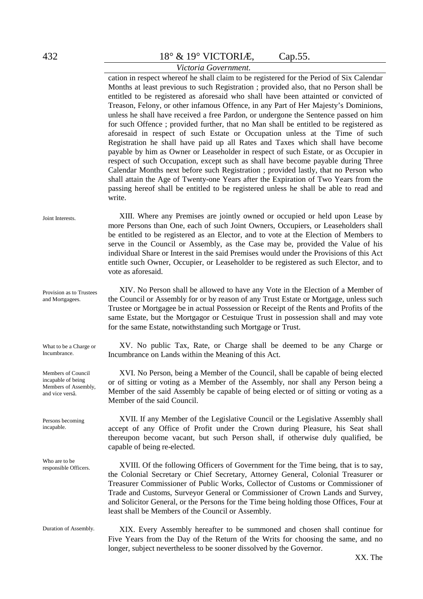# *Victoria Government.*

Joint Interests. Provision as to Trustees and Mortgagees. What to be a Charge or Incumbrance. Members of Council incapable of being Members of Assembly, and vice versâ. Persons becoming incapable. Who are to be responsible Officers. Duration of Assembly. cation in respect whereof he shall claim to be registered for the Period of Six Calendar Months at least previous to such Registration ; provided also, that no Person shall be entitled to be registered as aforesaid who shall have been attainted or convicted of Treason, Felony, or other infamous Offence, in any Part of Her Majesty's Dominions, unless he shall have received a free Pardon, or undergone the Sentence passed on him for such Offence ; provided further, that no Man shall be entitled to be registered as aforesaid in respect of such Estate or Occupation unless at the Time of such Registration he shall have paid up all Rates and Taxes which shall have become payable by him as Owner or Leaseholder in respect of such Estate, or as Occupier in respect of such Occupation, except such as shall have become payable during Three Calendar Months next before such Registration ; provided lastly, that no Person who shall attain the Age of Twenty-one Years after the Expiration of Two Years from the passing hereof shall be entitled to be registered unless he shall be able to read and write. XIII. Where any Premises are jointly owned or occupied or held upon Lease by more Persons than One, each of such Joint Owners, Occupiers, or Leaseholders shall be entitled to be registered as an Elector, and to vote at the Election of Members to serve in the Council or Assembly, as the Case may be, provided the Value of his individual Share or Interest in the said Premises would under the Provisions of this Act entitle such Owner, Occupier, or Leaseholder to be registered as such Elector, and to vote as aforesaid. XIV. No Person shall be allowed to have any Vote in the Election of a Member of the Council or Assembly for or by reason of any Trust Estate or Mortgage, unless such Trustee or Mortgagee be in actual Possession or Receipt of the Rents and Profits of the same Estate, but the Mortgagor or Cestuique Trust in possession shall and may vote for the same Estate, notwithstanding such Mortgage or Trust. XV. No public Tax, Rate, or Charge shall be deemed to be any Charge or Incumbrance on Lands within the Meaning of this Act. XVI. No Person, being a Member of the Council, shall be capable of being elected or of sitting or voting as a Member of the Assembly, nor shall any Person being a Member of the said Assembly be capable of being elected or of sitting or voting as a Member of the said Council. XVII. If any Member of the Legislative Council or the Legislative Assembly shall accept of any Office of Profit under the Crown during Pleasure, his Seat shall thereupon become vacant, but such Person shall, if otherwise duly qualified, be capable of being re-elected. XVIII. Of the following Officers of Government for the Time being, that is to say, the Colonial Secretary or Chief Secretary, Attorney General, Colonial Treasurer or Treasurer Commissioner of Public Works, Collector of Customs or Commissioner of Trade and Customs, Surveyor General or Commissioner of Crown Lands and Survey, and Solicitor General, or the Persons for the Time being holding those Offices, Four at least shall be Members of the Council or Assembly. XIX. Every Assembly hereafter to be summoned and chosen shall continue for Five Years from the Day of the Return of the Writs for choosing the same, and no longer, subject nevertheless to be sooner dissolved by the Governor.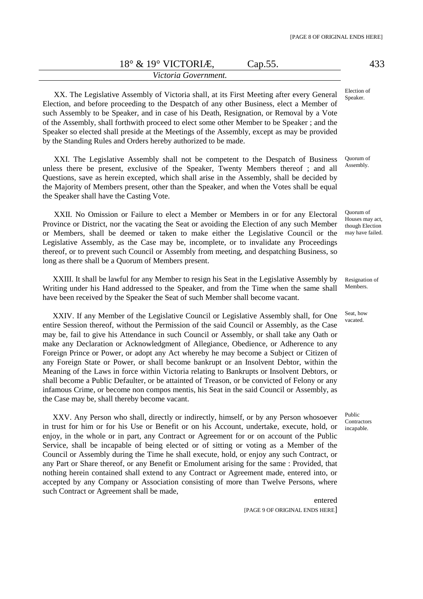#### *Victoria Government.*

XX. The Legislative Assembly of Victoria shall, at its First Meeting after every General Election, and before proceeding to the Despatch of any other Business, elect a Member of such Assembly to be Speaker, and in case of his Death, Resignation, or Removal by a Vote of the Assembly, shall forthwith proceed to elect some other Member to be Speaker ; and the Speaker so elected shall preside at the Meetings of the Assembly, except as may be provided by the Standing Rules and Orders hereby authorized to be made.

XXI. The Legislative Assembly shall not be competent to the Despatch of Business unless there be present, exclusive of the Speaker, Twenty Members thereof ; and all Questions, save as herein excepted, which shall arise in the Assembly, shall be decided by the Majority of Members present, other than the Speaker, and when the Votes shall be equal the Speaker shall have the Casting Vote.

XXII. No Omission or Failure to elect a Member or Members in or for any Electoral Province or District, nor the vacating the Seat or avoiding the Election of any such Member or Members, shall be deemed or taken to make either the Legislative Council or the Legislative Assembly, as the Case may be, incomplete, or to invalidate any Proceedings thereof, or to prevent such Council or Assembly from meeting, and despatching Business, so long as there shall be a Quorum of Members present.

XXIII. It shall be lawful for any Member to resign his Seat in the Legislative Assembly by Writing under his Hand addressed to the Speaker, and from the Time when the same shall have been received by the Speaker the Seat of such Member shall become vacant.

XXIV. If any Member of the Legislative Council or Legislative Assembly shall, for One entire Session thereof, without the Permission of the said Council or Assembly, as the Case may be, fail to give his Attendance in such Council or Assembly, or shall take any Oath or make any Declaration or Acknowledgment of Allegiance, Obedience, or Adherence to any Foreign Prince or Power, or adopt any Act whereby he may become a Subject or Citizen of any Foreign State or Power, or shall become bankrupt or an Insolvent Debtor, within the Meaning of the Laws in force within Victoria relating to Bankrupts or Insolvent Debtors, or shall become a Public Defaulter, or be attainted of Treason, or be convicted of Felony or any infamous Crime, or become non compos mentis, his Seat in the said Council or Assembly, as the Case may be, shall thereby become vacant.

XXV. Any Person who shall, directly or indirectly, himself, or by any Person whosoever in trust for him or for his Use or Benefit or on his Account, undertake, execute, hold, or enjoy, in the whole or in part, any Contract or Agreement for or on account of the Public Service, shall be incapable of being elected or of sitting or voting as a Member of the Council or Assembly during the Time he shall execute, hold, or enjoy any such Contract, or any Part or Share thereof, or any Benefit or Emolument arising for the same : Provided, that nothing herein contained shall extend to any Contract or Agreement made, entered into, or accepted by any Company or Association consisting of more than Twelve Persons, where such Contract or Agreement shall be made,

> entered [PAGE 9 OF ORIGINAL ENDS HERE]

Election of Speaker.

Quorum of Assembly.

Quorum of Houses may act, though Election may have failed.

Resignation of **Members** 

Seat, how vacated.

Public Contractors incapable.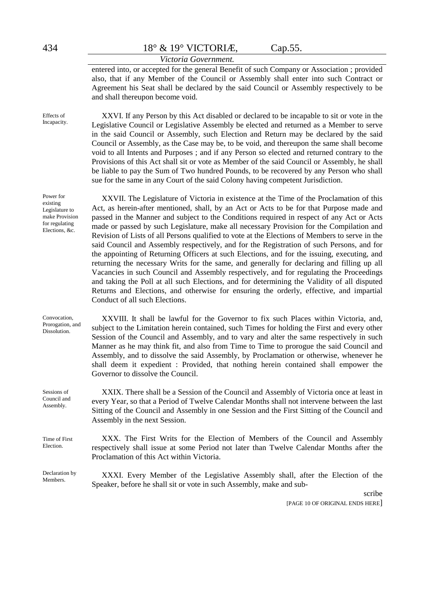Effects of Incapacity.

434 18° & 19° VICTORIÆ, Cap.55.

### *Victoria Government.*

entered into, or accepted for the general Benefit of such Company or Association ; provided also, that if any Member of the Council or Assembly shall enter into such Contract or Agreement his Seat shall be declared by the said Council or Assembly respectively to be and shall thereupon become void.

XXVI. If any Person by this Act disabled or declared to be incapable to sit or vote in the Legislative Council or Legislative Assembly be elected and returned as a Member to serve in the said Council or Assembly, such Election and Return may be declared by the said Council or Assembly, as the Case may be, to be void, and thereupon the same shall become void to all Intents and Purposes ; and if any Person so elected and returned contrary to the Provisions of this Act shall sit or vote as Member of the said Council or Assembly, he shall be liable to pay the Sum of Two hundred Pounds, to be recovered by any Person who shall sue for the same in any Court of the said Colony having competent Jurisdiction.

XXVII. The Legislature of Victoria in existence at the Time of the Proclamation of this Act, as herein-after mentioned, shall, by an Act or Acts to be for that Purpose made and passed in the Manner and subject to the Conditions required in respect of any Act or Acts made or passed by such Legislature, make all necessary Provision for the Compilation and Revision of Lists of all Persons qualified to vote at the Elections of Members to serve in the said Council and Assembly respectively, and for the Registration of such Persons, and for the appointing of Returning Officers at such Elections, and for the issuing, executing, and returning the necessary Writs for the same, and generally for declaring and filling up all Vacancies in such Council and Assembly respectively, and for regulating the Proceedings and taking the Poll at all such Elections, and for determining the Validity of all disputed Returns and Elections, and otherwise for ensuring the orderly, effective, and impartial Conduct of all such Elections.

XXVIII. It shall be lawful for the Governor to fix such Places within Victoria, and, subject to the Limitation herein contained, such Times for holding the First and every other Session of the Council and Assembly, and to vary and alter the same respectively in such Manner as he may think fit, and also from Time to Time to prorogue the said Council and Assembly, and to dissolve the said Assembly, by Proclamation or otherwise, whenever he shall deem it expedient : Provided, that nothing herein contained shall empower the Governor to dissolve the Council.

XXIX. There shall be a Session of the Council and Assembly of Victoria once at least in every Year, so that a Period of Twelve Calendar Months shall not intervene between the last Sitting of the Council and Assembly in one Session and the First Sitting of the Council and Assembly in the next Session.

XXX. The First Writs for the Election of Members of the Council and Assembly respectively shall issue at some Period not later than Twelve Calendar Months after the Proclamation of this Act within Victoria.

XXXI. Every Member of the Legislative Assembly shall, after the Election of the Speaker, before he shall sit or vote in such Assembly, make and sub-

scribe

[PAGE 10 OF ORIGINAL ENDS HERE]

Power for existing Legislature to make Provision for regulating Elections, &c.

Convocation, Prorogation, and Dissolution.

Time of First

Sessions of Council and Assembly.

Election.

Declaration by Members.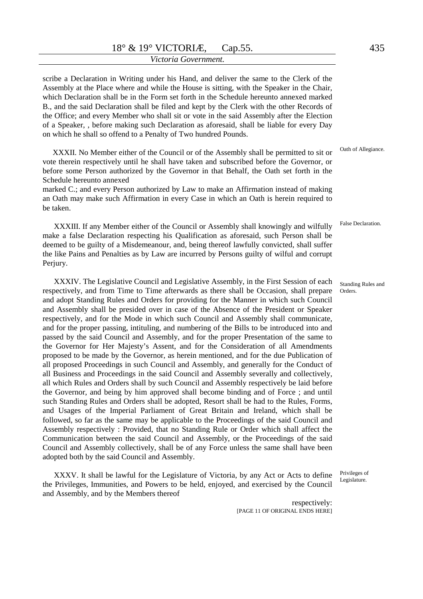scribe a Declaration in Writing under his Hand, and deliver the same to the Clerk of the Assembly at the Place where and while the House is sitting, with the Speaker in the Chair, which Declaration shall be in the Form set forth in the Schedule hereunto annexed marked B., and the said Declaration shall be filed and kept by the Clerk with the other Records of the Office; and every Member who shall sit or vote in the said Assembly after the Election of a Speaker, , before making such Declaration as aforesaid, shall be liable for every Day on which he shall so offend to a Penalty of Two hundred Pounds.

XXXII. No Member either of the Council or of the Assembly shall be permitted to sit or vote therein respectively until he shall have taken and subscribed before the Governor, or before some Person authorized by the Governor in that Behalf, the Oath set forth in the Schedule hereunto annexed

marked C.; and every Person authorized by Law to make an Affirmation instead of making an Oath may make such Affirmation in every Case in which an Oath is herein required to be taken.

XXXIII. If any Member either of the Council or Assembly shall knowingly and wilfully make a false Declaration respecting his Qualification as aforesaid, such Person shall be deemed to be guilty of a Misdemeanour, and, being thereof lawfully convicted, shall suffer the like Pains and Penalties as by Law are incurred by Persons guilty of wilful and corrupt Periury.

XXXIV. The Legislative Council and Legislative Assembly, in the First Session of each respectively, and from Time to Time afterwards as there shall be Occasion, shall prepare and adopt Standing Rules and Orders for providing for the Manner in which such Council and Assembly shall be presided over in case of the Absence of the President or Speaker respectively, and for the Mode in which such Council and Assembly shall communicate, and for the proper passing, intituling, and numbering of the Bills to be introduced into and passed by the said Council and Assembly, and for the proper Presentation of the same to the Governor for Her Majesty's Assent, and for the Consideration of all Amendments proposed to be made by the Governor, as herein mentioned, and for the due Publication of all proposed Proceedings in such Council and Assembly, and generally for the Conduct of all Business and Proceedings in the said Council and Assembly severally and collectively, all which Rules and Orders shall by such Council and Assembly respectively be laid before the Governor, and being by him approved shall become binding and of Force ; and until such Standing Rules and Orders shall be adopted, Resort shall be had to the Rules, Forms, and Usages of the Imperial Parliament of Great Britain and Ireland, which shall be followed, so far as the same may be applicable to the Proceedings of the said Council and Assembly respectively : Provided, that no Standing Rule or Order which shall affect the Communication between the said Council and Assembly, or the Proceedings of the said Council and Assembly collectively, shall be of any Force unless the same shall have been adopted both by the said Council and Assembly.

XXXV. It shall be lawful for the Legislature of Victoria, by any Act or Acts to define the Privileges, Immunities, and Powers to be held, enjoyed, and exercised by the Council and Assembly, and by the Members thereof

> respectively: [PAGE 11 OF ORIGINAL ENDS HERE]

Oath of Allegiance.

Standing Rules and Orders.

Privileges of Legislature.

False Declaration.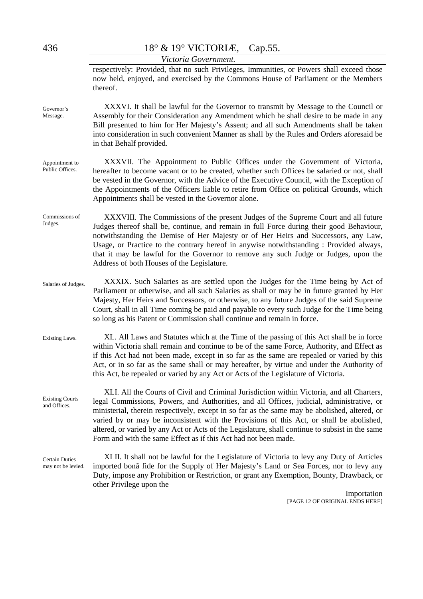| 436                                    | 18° & 19° VICTORIÆ,<br>Cap. 55.                                                                                                                                                                                                                                                                                                                                                                                                                                                                                                                           |  |  |  |  |  |
|----------------------------------------|-----------------------------------------------------------------------------------------------------------------------------------------------------------------------------------------------------------------------------------------------------------------------------------------------------------------------------------------------------------------------------------------------------------------------------------------------------------------------------------------------------------------------------------------------------------|--|--|--|--|--|
|                                        | Victoria Government.                                                                                                                                                                                                                                                                                                                                                                                                                                                                                                                                      |  |  |  |  |  |
|                                        | respectively: Provided, that no such Privileges, Immunities, or Powers shall exceed those<br>now held, enjoyed, and exercised by the Commons House of Parliament or the Members<br>thereof.                                                                                                                                                                                                                                                                                                                                                               |  |  |  |  |  |
| Governor's<br>Message.                 | XXXVI. It shall be lawful for the Governor to transmit by Message to the Council or<br>Assembly for their Consideration any Amendment which he shall desire to be made in any<br>Bill presented to him for Her Majesty's Assent; and all such Amendments shall be taken<br>into consideration in such convenient Manner as shall by the Rules and Orders aforesaid be<br>in that Behalf provided.                                                                                                                                                         |  |  |  |  |  |
| Appointment to<br>Public Offices.      | XXXVII. The Appointment to Public Offices under the Government of Victoria,<br>hereafter to become vacant or to be created, whether such Offices be salaried or not, shall<br>be vested in the Governor, with the Advice of the Executive Council, with the Exception of<br>the Appointments of the Officers liable to retire from Office on political Grounds, which<br>Appointments shall be vested in the Governor alone.                                                                                                                              |  |  |  |  |  |
| Commissions of<br>Judges.              | XXXVIII. The Commissions of the present Judges of the Supreme Court and all future<br>Judges thereof shall be, continue, and remain in full Force during their good Behaviour,<br>notwithstanding the Demise of Her Majesty or of Her Heirs and Successors, any Law,<br>Usage, or Practice to the contrary hereof in anywise notwithstanding : Provided always,<br>that it may be lawful for the Governor to remove any such Judge or Judges, upon the<br>Address of both Houses of the Legislature.                                                      |  |  |  |  |  |
| Salaries of Judges.                    | XXXIX. Such Salaries as are settled upon the Judges for the Time being by Act of<br>Parliament or otherwise, and all such Salaries as shall or may be in future granted by Her<br>Majesty, Her Heirs and Successors, or otherwise, to any future Judges of the said Supreme<br>Court, shall in all Time coming be paid and payable to every such Judge for the Time being<br>so long as his Patent or Commission shall continue and remain in force.                                                                                                      |  |  |  |  |  |
| Existing Laws.                         | XL. All Laws and Statutes which at the Time of the passing of this Act shall be in force<br>within Victoria shall remain and continue to be of the same Force, Authority, and Effect as<br>if this Act had not been made, except in so far as the same are repealed or varied by this<br>Act, or in so far as the same shall or may hereafter, by virtue and under the Authority of<br>this Act, be repealed or varied by any Act or Acts of the Legislature of Victoria.                                                                                 |  |  |  |  |  |
| <b>Existing Courts</b><br>and Offices. | XLI. All the Courts of Civil and Criminal Jurisdiction within Victoria, and all Charters,<br>legal Commissions, Powers, and Authorities, and all Offices, judicial, administrative, or<br>ministerial, therein respectively, except in so far as the same may be abolished, altered, or<br>varied by or may be inconsistent with the Provisions of this Act, or shall be abolished,<br>altered, or varied by any Act or Acts of the Legislature, shall continue to subsist in the same<br>Form and with the same Effect as if this Act had not been made. |  |  |  |  |  |
| Certain Duties<br>may not be levied.   | XLII. It shall not be lawful for the Legislature of Victoria to levy any Duty of Articles<br>imported bonâ fide for the Supply of Her Majesty's Land or Sea Forces, nor to levy any<br>Duty, impose any Prohibition or Restriction, or grant any Exemption, Bounty, Drawback, or<br>other Privilege upon the<br>Importation                                                                                                                                                                                                                               |  |  |  |  |  |

[PAGE 12 OF ORIGINAL ENDS HERE]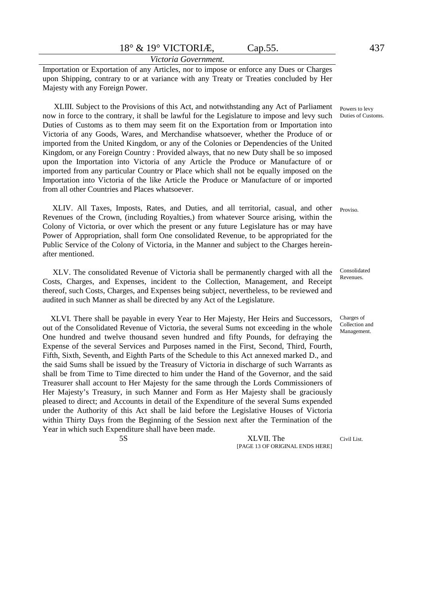Importation or Exportation of any Articles, nor to impose or enforce any Dues or Charges upon Shipping, contrary to or at variance with any Treaty or Treaties concluded by Her Majesty with any Foreign Power.

XLIII. Subject to the Provisions of this Act, and notwithstanding any Act of Parliament now in force to the contrary, it shall be lawful for the Legislature to impose and levy such Duties of Customs as to them may seem fit on the Exportation from or Importation into Victoria of any Goods, Wares, and Merchandise whatsoever, whether the Produce of or imported from the United Kingdom, or any of the Colonies or Dependencies of the United Kingdom, or any Foreign Country : Provided always, that no new Duty shall be so imposed upon the Importation into Victoria of any Article the Produce or Manufacture of or imported from any particular Country or Place which shall not be equally imposed on the Importation into Victoria of the like Article the Produce or Manufacture of or imported from all other Countries and Places whatsoever.

 XLIV. All Taxes, Imposts, Rates, and Duties, and all territorial, casual, and other Revenues of the Crown, (including Royalties,) from whatever Source arising, within the Colony of Victoria, or over which the present or any future Legislature has or may have Power of Appropriation, shall form One consolidated Revenue, to be appropriated for the Public Service of the Colony of Victoria, in the Manner and subject to the Charges hereinafter mentioned. Proviso.

XLV. The consolidated Revenue of Victoria shall be permanently charged with all the Costs, Charges, and Expenses, incident to the Collection, Management, and Receipt thereof, such Costs, Charges, and Expenses being subject, nevertheless, to be reviewed and audited in such Manner as shall be directed by any Act of the Legislature.

 XLVI. There shall be payable in every Year to Her Majesty, Her Heirs and Successors, out of the Consolidated Revenue of Victoria, the several Sums not exceeding in the whole One hundred and twelve thousand seven hundred and fifty Pounds, for defraying the Expense of the several Services and Purposes named in the First, Second, Third, Fourth, Fifth, Sixth, Seventh, and Eighth Parts of the Schedule to this Act annexed marked D., and the said Sums shall be issued by the Treasury of Victoria in discharge of such Warrants as shall be from Time to Time directed to him under the Hand of the Governor, and the said Treasurer shall account to Her Majesty for the same through the Lords Commissioners of Her Majesty's Treasury, in such Manner and Form as Her Majesty shall be graciously pleased to direct; and Accounts in detail of the Expenditure of the several Sums expended under the Authority of this Act shall be laid before the Legislative Houses of Victoria within Thirty Days from the Beginning of the Session next after the Termination of the Year in which such Expenditure shall have been made.

5S XLVII. The [PAGE 13 OF ORIGINAL ENDS HERE]

Powers to levy Duties of Customs.

Consolidated Revenues.

Charges of Collection and Management.

Civil List.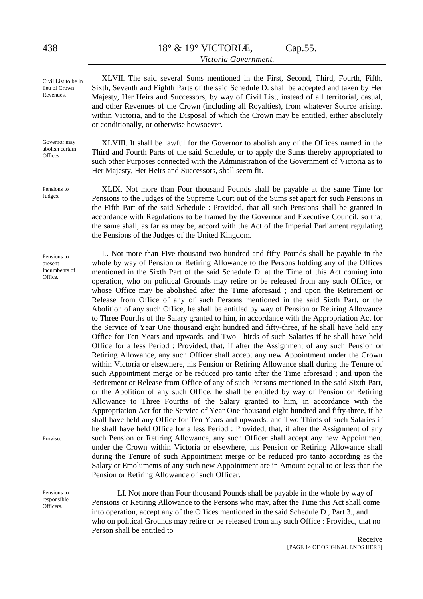#### *Victoria Government.*

XLVII. The said several Sums mentioned in the First, Second, Third, Fourth, Fifth, Sixth, Seventh and Eighth Parts of the said Schedule D. shall be accepted and taken by Her Majesty, Her Heirs and Successors, by way of Civil List, instead of all territorial, casual, and other Revenues of the Crown (including all Royalties), from whatever Source arising, within Victoria, and to the Disposal of which the Crown may be entitled, either absolutely or conditionally, or otherwise howsoever.

XLVIII. It shall be lawful for the Governor to abolish any of the Offices named in the Third and Fourth Parts of the said Schedule, or to apply the Sums thereby appropriated to such other Purposes connected with the Administration of the Government of Victoria as to Her Majesty, Her Heirs and Successors, shall seem fit.

XLIX. Not more than Four thousand Pounds shall be payable at the same Time for Pensions to the Judges of the Supreme Court out of the Sums set apart for such Pensions in the Fifth Part of the said Schedule : Provided, that all such Pensions shall be granted in accordance with Regulations to be framed by the Governor and Executive Council, so that the same shall, as far as may be, accord with the Act of the Imperial Parliament regulating the Pensions of the Judges of the United Kingdom.

L. Not more than Five thousand two hundred and fifty Pounds shall be payable in the whole by way of Pension or Retiring Allowance to the Persons holding any of the Offices mentioned in the Sixth Part of the said Schedule D. at the Time of this Act coming into operation, who on political Grounds may retire or be released from any such Office, or whose Office may be abolished after the Time aforesaid ; and upon the Retirement or Release from Office of any of such Persons mentioned in the said Sixth Part, or the Abolition of any such Office, he shall be entitled by way of Pension or Retiring Allowance to Three Fourths of the Salary granted to him, in accordance with the Appropriation Act for the Service of Year One thousand eight hundred and fifty-three, if he shall have held any Office for Ten Years and upwards, and Two Thirds of such Salaries if he shall have held Office for a less Period : Provided, that, if after the Assignment of any such Pension or Retiring Allowance, any such Officer shall accept any new Appointment under the Crown within Victoria or elsewhere, his Pension or Retiring Allowance shall during the Tenure of such Appointment merge or be reduced pro tanto after the Time aforesaid ; and upon the Retirement or Release from Office of any of such Persons mentioned in the said Sixth Part, or the Abolition of any such Office, he shall be entitled by way of Pension or Retiring Allowance to Three Fourths of the Salary granted to him, in accordance with the Appropriation Act for the Service of Year One thousand eight hundred and fifty-three, if he shall have held any Office for Ten Years and upwards, and Two Thirds of such Salaries if he shall have held Office for a less Period : Provided, that, if after the Assignment of any such Pension or Retiring Allowance, any such Officer shall accept any new Appointment under the Crown within Victoria or elsewhere, his Pension or Retiring Allowance shall during the Tenure of such Appointment merge or be reduced pro tanto according as the Salary or Emoluments of any such new Appointment are in Amount equal to or less than the Pension or Retiring Allowance of such Officer.

LI. Not more than Four thousand Pounds shall be payable in the whole by way of Pensions or Retiring Allowance to the Persons who may, after the Time this Act shall come into operation, accept any of the Offices mentioned in the said Schedule D., Part 3., and who on political Grounds may retire or be released from any such Office : Provided, that no Person shall be entitled to

Civil List to be in lieu of Crown Revenues.

Governor may abolish certain **Offices** 

Pensions to Judges.

Pensions to present Incumbents of Office.

Proviso.

Pensions to responsible **Officers**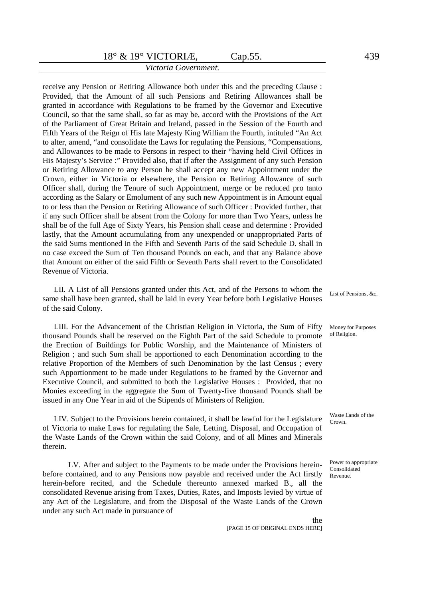receive any Pension or Retiring Allowance both under this and the preceding Clause : Provided, that the Amount of all such Pensions and Retiring Allowances shall be granted in accordance with Regulations to be framed by the Governor and Executive Council, so that the same shall, so far as may be, accord with the Provisions of the Act of the Parliament of Great Britain and Ireland, passed in the Session of the Fourth and Fifth Years of the Reign of His late Majesty King William the Fourth, intituled "An Act to alter, amend, "and consolidate the Laws for regulating the Pensions, "Compensations, and Allowances to be made to Persons in respect to their "having held Civil Offices in His Majesty's Service :" Provided also, that if after the Assignment of any such Pension or Retiring Allowance to any Person he shall accept any new Appointment under the Crown, either in Victoria or elsewhere, the Pension or Retiring Allowance of such Officer shall, during the Tenure of such Appointment, merge or be reduced pro tanto according as the Salary or Emolument of any such new Appointment is in Amount equal to or less than the Pension or Retiring Allowance of such Officer : Provided further, that if any such Officer shall be absent from the Colony for more than Two Years, unless he shall be of the full Age of Sixty Years, his Pension shall cease and determine : Provided lastly, that the Amount accumulating from any unexpended or unappropriated Parts of the said Sums mentioned in the Fifth and Seventh Parts of the said Schedule D. shall in no case exceed the Sum of Ten thousand Pounds on each, and that any Balance above that Amount on either of the said Fifth or Seventh Parts shall revert to the Consolidated Revenue of Victoria.

LII. A List of all Pensions granted under this Act, and of the Persons to whom the same shall have been granted, shall be laid in every Year before both Legislative Houses of the said Colony.

LIII. For the Advancement of the Christian Religion in Victoria, the Sum of Fifty thousand Pounds shall be reserved on the Eighth Part of the said Schedule to promote the Erection of Buildings for Public Worship, and the Maintenance of Ministers of Religion ; and such Sum shall be apportioned to each Denomination according to the relative Proportion of the Members of such Denomination by the last Census ; every such Apportionment to be made under Regulations to be framed by the Governor and Executive Council, and submitted to both the Legislative Houses : Provided, that no Monies exceeding in the aggregate the Sum of Twenty-five thousand Pounds shall be issued in any One Year in aid of the Stipends of Ministers of Religion.

LIV. Subject to the Provisions herein contained, it shall be lawful for the Legislature of Victoria to make Laws for regulating the Sale, Letting, Disposal, and Occupation of the Waste Lands of the Crown within the said Colony, and of all Mines and Minerals therein.

LV. After and subject to the Payments to be made under the Provisions hereinbefore contained, and to any Pensions now payable and received under the Act firstly herein-before recited, and the Schedule thereunto annexed marked B., all the consolidated Revenue arising from Taxes, Duties, Rates, and Imposts levied by virtue of any Act of the Legislature, and from the Disposal of the Waste Lands of the Crown under any such Act made in pursuance of

List of Pensions, &c.

Money for Purposes of Religion.

Waste Lands of the Crown.

Power to appropriate Consolidated Revenue.

the

[PAGE 15 OF ORIGINAL ENDS HERE]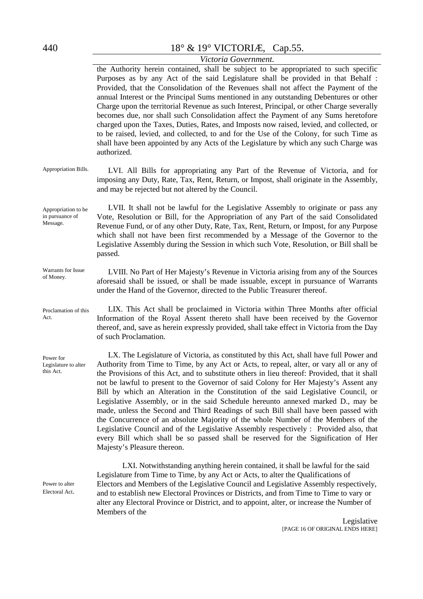Message.

Act.

# 440 18° & 19° VICTORIÆ, Cap.55.

### *Victoria Government.*

the Authority herein contained, shall be subject to be appropriated to such specific Purposes as by any Act of the said Legislature shall be provided in that Behalf : Provided, that the Consolidation of the Revenues shall not affect the Payment of the annual Interest or the Principal Sums mentioned in any outstanding Debentures or other Charge upon the territorial Revenue as such Interest, Principal, or other Charge severally becomes due, nor shall such Consolidation affect the Payment of any Sums heretofore charged upon the Taxes, Duties, Rates, and Imposts now raised, levied, and collected, or to be raised, levied, and collected, to and for the Use of the Colony, for such Time as shall have been appointed by any Acts of the Legislature by which any such Charge was authorized.

Appropriation Bills. LVI. All Bills for appropriating any Part of the Revenue of Victoria, and for imposing any Duty, Rate, Tax, Rent, Return, or Impost, shall originate in the Assembly, and may be rejected but not altered by the Council.

Appropriation to be in pursuance of LVII. It shall not be lawful for the Legislative Assembly to originate or pass any Vote, Resolution or Bill, for the Appropriation of any Part of the said Consolidated Revenue Fund, or of any other Duty, Rate, Tax, Rent, Return, or Impost, for any Purpose which shall not have been first recommended by a Message of the Governor to the Legislative Assembly during the Session in which such Vote, Resolution, or Bill shall be passed.

Warrants for Issue of Money. LVIII. No Part of Her Majesty's Revenue in Victoria arising from any of the Sources aforesaid shall be issued, or shall be made issuable, except in pursuance of Warrants under the Hand of the Governor, directed to the Public Treasurer thereof.

Proclamation of this LIX. This Act shall be proclaimed in Victoria within Three Months after official Information of the Royal Assent thereto shall have been received by the Governor thereof, and, save as herein expressly provided, shall take effect in Victoria from the Day of such Proclamation.

> LX. The Legislature of Victoria, as constituted by this Act, shall have full Power and Authority from Time to Time, by any Act or Acts, to repeal, alter, or vary all or any of the Provisions of this Act, and to substitute others in lieu thereof: Provided, that it shall not be lawful to present to the Governor of said Colony for Her Majesty's Assent any Bill by which an Alteration in the Constitution of the said Legislative Council, or Legislative Assembly, or in the said Schedule hereunto annexed marked D., may be made, unless the Second and Third Readings of such Bill shall have been passed with the Concurrence of an absolute Majority of the whole Number of the Members of the Legislative Council and of the Legislative Assembly respectively : Provided also, that every Bill which shall be so passed shall be reserved for the Signification of Her Majesty's Pleasure thereon.

LXI. Notwithstanding anything herein contained, it shall be lawful for the said Legislature from Time to Time, by any Act or Acts, to alter the Qualifications of Electors and Members of the Legislative Council and Legislative Assembly respectively, and to establish new Electoral Provinces or Districts, and from Time to Time to vary or alter any Electoral Province or District, and to appoint, alter, or increase the Number of Members of the

Power for Legislature to alter this Act.

Power to alter Electoral Act.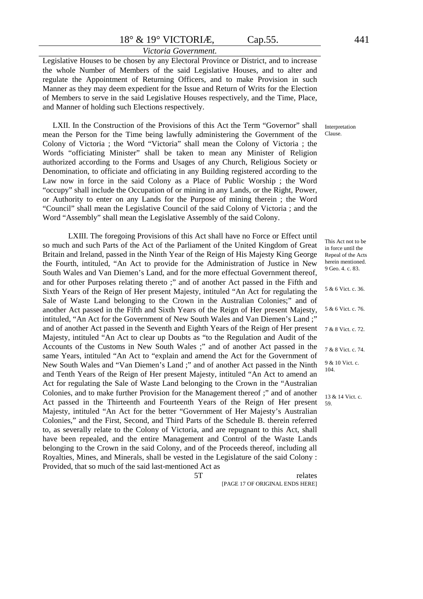#### *Victoria Government.*

Legislative Houses to be chosen by any Electoral Province or District, and to increase the whole Number of Members of the said Legislative Houses, and to alter and regulate the Appointment of Returning Officers, and to make Provision in such Manner as they may deem expedient for the Issue and Return of Writs for the Election of Members to serve in the said Legislative Houses respectively, and the Time, Place, and Manner of holding such Elections respectively.

LXII. In the Construction of the Provisions of this Act the Term "Governor" shall mean the Person for the Time being lawfully administering the Government of the Colony of Victoria ; the Word "Victoria" shall mean the Colony of Victoria ; the Words "officiating Minister" shall be taken to mean any Minister of Religion authorized according to the Forms and Usages of any Church, Religious Society or Denomination, to officiate and officiating in any Building registered according to the Law now in force in the said Colony as a Place of Public Worship ; the Word "occupy" shall include the Occupation of or mining in any Lands, or the Right, Power, or Authority to enter on any Lands for the Purpose of mining therein ; the Word "Council" shall mean the Legislative Council of the said Colony of Victoria ; and the Word "Assembly" shall mean the Legislative Assembly of the said Colony.

LXIII. The foregoing Provisions of this Act shall have no Force or Effect until so much and such Parts of the Act of the Parliament of the United Kingdom of Great Britain and Ireland, passed in the Ninth Year of the Reign of His Majesty King George the Fourth, intituled, "An Act to provide for the Administration of Justice in New South Wales and Van Diemen's Land, and for the more effectual Government thereof, and for other Purposes relating thereto ;" and of another Act passed in the Fifth and Sixth Years of the Reign of Her present Majesty, intituled "An Act for regulating the Sale of Waste Land belonging to the Crown in the Australian Colonies;" and of another Act passed in the Fifth and Sixth Years of the Reign of Her present Majesty, intituled, "An Act for the Government of New South Wales and Van Diemen's Land ;" and of another Act passed in the Seventh and Eighth Years of the Reign of Her present Majesty, intituled "An Act to clear up Doubts as "to the Regulation and Audit of the Accounts of the Customs in New South Wales ;" and of another Act passed in the same Years, intituled "An Act to "explain and amend the Act for the Government of New South Wales and "Van Diemen's Land ;" and of another Act passed in the Ninth and Tenth Years of the Reign of Her present Majesty, intituled "An Act to amend an Act for regulating the Sale of Waste Land belonging to the Crown in the "Australian Colonies, and to make further Provision for the Management thereof ;" and of another Act passed in the Thirteenth and Fourteenth Years of the Reign of Her present Majesty, intituled "An Act for the better "Government of Her Majesty's Australian Colonies," and the First, Second, and Third Parts of the Schedule B. therein referred to, as severally relate to the Colony of Victoria, and are repugnant to this Act, shall have been repealed, and the entire Management and Control of the Waste Lands belonging to the Crown in the said Colony, and of the Proceeds thereof, including all Royalties, Mines, and Minerals, shall be vested in the Legislature of the said Colony : Provided, that so much of the said last-mentioned Act as

5T relates [PAGE 17 OF ORIGINAL ENDS HERE]

Repeal of the Acts herein mentioned. 9 Geo. 4. c. 83. 5 & 6 Vict. c. 36. 5 & 6 Vict. c. 76. 7 & 8 Vict. c. 72. 7 & 8 Vict. c. 74. 9 & 10 Vict. c. 104. 13 & 14 Vict. c.

59.

This Act not to be in force until the

Interpretation Clause.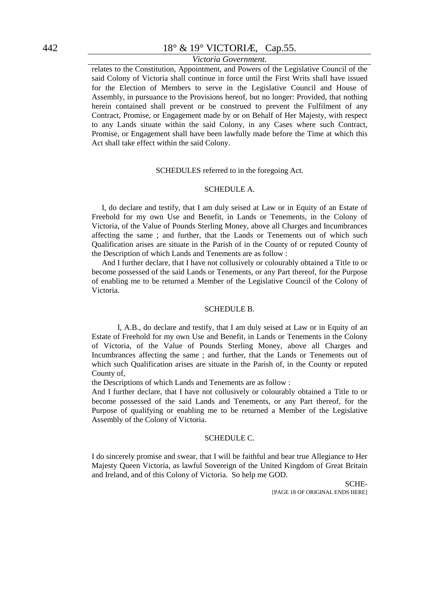# *Victoria Government.*

relates to the Constitution, Appointment, and Powers of the Legislative Council of the said Colony of Victoria shall continue in force until the First Writs shall have issued for the Election of Members to serve in the Legislative Council and House of Assembly, in pursuance to the Provisions hereof, but no longer: Provided, that nothing herein contained shall prevent or be construed to prevent the Fulfilment of any Contract, Promise, or Engagement made by or on Behalf of Her Majesty, with respect to any Lands situate within the said Colony, in any Cases where such Contract, Promise, or Engagement shall have been lawfully made before the Time at which this Act shall take effect within the said Colony.

#### SCHEDULES referred to in the foregoing Act.

#### SCHEDULE A.

I, do declare and testify, that I am duly seised at Law or in Equity of an Estate of Freehold for my own Use and Benefit, in Lands or Tenements, in the Colony of Victoria, of the Value of Pounds Sterling Money, above all Charges and Incumbrances affecting the same ; and further, that the Lands or Tenements out of which such Qualification arises are situate in the Parish of in the County of or reputed County of the Description of which Lands and Tenements are as follow :

And I further declare, that I have not collusively or colourably obtained a Title to or become possessed of the said Lands or Tenements, or any Part thereof, for the Purpose of enabling me to be returned a Member of the Legislative Council of the Colony of Victoria.

#### SCHEDULE B.

I, A.B., do declare and testify, that I am duly seised at Law or in Equity of an Estate of Freehold for my own Use and Benefit, in Lands or Tenements in the Colony of Victoria, of the Value of Pounds Sterling Money, above all Charges and Incumbrances affecting the same ; and further, that the Lands or Tenements out of which such Qualification arises are situate in the Parish of, in the County or reputed County of,

the Descriptions of which Lands and Tenements are as follow :

And I further declare, that I have not collusively or colourably obtained a Title to or become possessed of the said Lands and Tenements, or any Part thereof, for the Purpose of qualifying or enabling me to be returned a Member of the Legislative Assembly of the Colony of Victoria.

#### SCHEDULE C.

I do sincerely promise and swear, that I will be faithful and bear true Allegiance to Her Majesty Queen Victoria, as lawful Sovereign of the United Kingdom of Great Britain and Ireland, and of this Colony of Victoria. So help me GOD.

> SCHE- [PAGE 18 OF ORIGINAL ENDS HERE]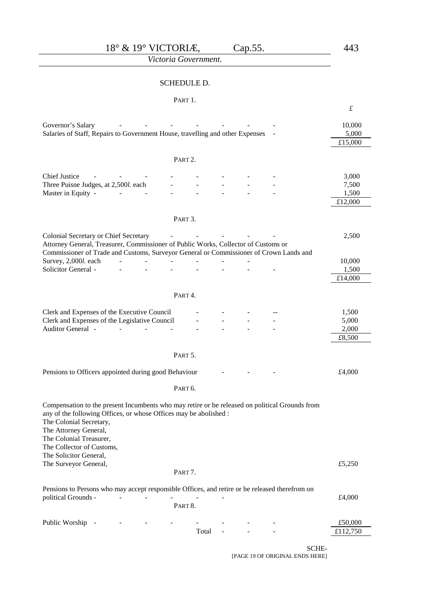*Victoria Government.*

#### SCHEDULE D.

#### PART 1.

|                                                                                                                                                                                                                                                    |                     |  | $\pounds$           |
|----------------------------------------------------------------------------------------------------------------------------------------------------------------------------------------------------------------------------------------------------|---------------------|--|---------------------|
| Governor's Salary<br>Salaries of Staff, Repairs to Government House, travelling and other Expenses                                                                                                                                                 |                     |  | 10,000<br>5,000     |
|                                                                                                                                                                                                                                                    |                     |  | £15,000             |
|                                                                                                                                                                                                                                                    | PART <sub>2</sub> . |  |                     |
| <b>Chief Justice</b>                                                                                                                                                                                                                               |                     |  | 3,000               |
| Three Puisne Judges, at 2,500l. each                                                                                                                                                                                                               |                     |  | 7,500               |
| Master in Equity -                                                                                                                                                                                                                                 |                     |  | 1,500               |
|                                                                                                                                                                                                                                                    |                     |  | £12,000             |
|                                                                                                                                                                                                                                                    | PART 3.             |  |                     |
| Colonial Secretary or Chief Secretary                                                                                                                                                                                                              |                     |  | 2,500               |
| Attorney General, Treasurer, Commissioner of Public Works, Collector of Customs or                                                                                                                                                                 |                     |  |                     |
| Commissioner of Trade and Customs, Surveyor General or Commissioner of Crown Lands and                                                                                                                                                             |                     |  |                     |
| Survey, 2,000l. each<br><b>Solicitor General -</b>                                                                                                                                                                                                 |                     |  | 10,000<br>1,500     |
|                                                                                                                                                                                                                                                    |                     |  | £14,000             |
|                                                                                                                                                                                                                                                    |                     |  |                     |
|                                                                                                                                                                                                                                                    | PART4.              |  |                     |
| Clerk and Expenses of the Executive Council                                                                                                                                                                                                        |                     |  | 1,500               |
| Clerk and Expenses of the Legislative Council                                                                                                                                                                                                      |                     |  | 5,000               |
| Auditor General -                                                                                                                                                                                                                                  |                     |  | 2,000               |
|                                                                                                                                                                                                                                                    |                     |  | £8,500              |
|                                                                                                                                                                                                                                                    | PART 5.             |  |                     |
| Pensions to Officers appointed during good Behaviour                                                                                                                                                                                               |                     |  | £4,000              |
|                                                                                                                                                                                                                                                    | PART <sub>6</sub> . |  |                     |
|                                                                                                                                                                                                                                                    |                     |  |                     |
| Compensation to the present Incumbents who may retire or be released on political Grounds from<br>any of the following Offices, or whose Offices may be abolished :<br>The Colonial Secretary,<br>The Attorney General,<br>The Colonial Treasurer, |                     |  |                     |
| The Collector of Customs,                                                                                                                                                                                                                          |                     |  |                     |
| The Solicitor General,<br>The Surveyor General,                                                                                                                                                                                                    |                     |  | £5,250              |
|                                                                                                                                                                                                                                                    | PART7.              |  |                     |
| Pensions to Persons who may accept responsible Offices, and retire or be released therefrom on                                                                                                                                                     |                     |  |                     |
| political Grounds -                                                                                                                                                                                                                                |                     |  | £4,000              |
|                                                                                                                                                                                                                                                    | PART 8.             |  |                     |
|                                                                                                                                                                                                                                                    |                     |  |                     |
| Public Worship                                                                                                                                                                                                                                     | Total               |  | £50,000<br>£112,750 |
|                                                                                                                                                                                                                                                    |                     |  |                     |

SCHE-

[PAGE 19 OF ORIGINAL ENDS HERE]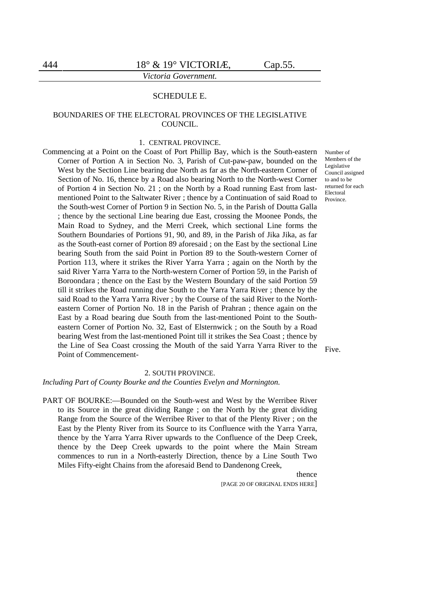#### SCHEDULE E.

#### BOUNDARIES OF THE ELECTORAL PROVINCES OF THE LEGISLATIVE COUNCIL.

#### 1. CENTRAL PROVINCE.

Commencing at a Point on the Coast of Port Phillip Bay, which is the South-eastern Corner of Portion A in Section No. 3, Parish of Cut-paw-paw, bounded on the West by the Section Line bearing due North as far as the North-eastern Corner of Section of No. 16, thence by a Road also bearing North to the North-west Corner of Portion 4 in Section No. 21 ; on the North by a Road running East from lastmentioned Point to the Saltwater River ; thence by a Continuation of said Road to the South-west Corner of Portion 9 in Section No. 5, in the Parish of Doutta Galla ; thence by the sectional Line bearing due East, crossing the Moonee Ponds, the Main Road to Sydney, and the Merri Creek, which sectional Line forms the Southern Boundaries of Portions 91, 90, and 89, in the Parish of Jika Jika, as far as the South-east corner of Portion 89 aforesaid ; on the East by the sectional Line bearing South from the said Point in Portion 89 to the South-western Corner of Portion 113, where it strikes the River Yarra Yarra ; again on the North by the said River Yarra Yarra to the North-western Corner of Portion 59, in the Parish of Boroondara ; thence on the East by the Western Boundary of the said Portion 59 till it strikes the Road running due South to the Yarra Yarra River ; thence by the said Road to the Yarra Yarra River ; by the Course of the said River to the Northeastern Corner of Portion No. 18 in the Parish of Prahran ; thence again on the East by a Road bearing due South from the last-mentioned Point to the Southeastern Corner of Portion No. 32, East of Elsternwick ; on the South by a Road bearing West from the last-mentioned Point till it strikes the Sea Coast ; thence by the Line of Sea Coast crossing the Mouth of the said Yarra Yarra River to the Point of Commencement-

Number of Members of the Legislative Council assigned to and to be returned for each Electoral Province.

Five.

#### 2. SOUTH PROVINCE.

*Including Part of County Bourke and the Counties Evelyn and Mornington.*

PART OF BOURKE:—Bounded on the South-west and West by the Werribee River to its Source in the great dividing Range ; on the North by the great dividing Range from the Source of the Werribee River to that of the Plenty River ; on the East by the Plenty River from its Source to its Confluence with the Yarra Yarra, thence by the Yarra Yarra River upwards to the Confluence of the Deep Creek, thence by the Deep Creek upwards to the point where the Main Stream commences to run in a North-easterly Direction, thence by a Line South Two Miles Fifty-eight Chains from the aforesaid Bend to Dandenong Creek,

> thence [PAGE 20 OF ORIGINAL ENDS HERE]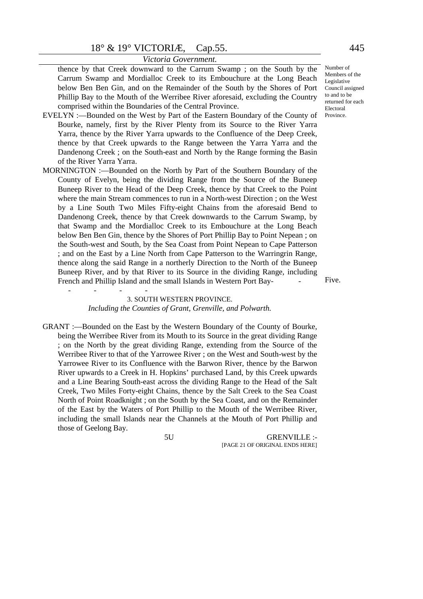thence by that Creek downward to the Carrum Swamp ; on the South by the Carrum Swamp and Mordialloc Creek to its Embouchure at the Long Beach below Ben Ben Gin, and on the Remainder of the South by the Shores of Port Phillip Bay to the Mouth of the Werribee River aforesaid, excluding the Country comprised within the Boundaries of the Central Province.

- EVELYN :—Bounded on the West by Part of the Eastern Boundary of the County of Bourke, namely, first by the River Plenty from its Source to the River Yarra Yarra, thence by the River Yarra upwards to the Confluence of the Deep Creek, thence by that Creek upwards to the Range between the Yarra Yarra and the Dandenong Creek ; on the South-east and North by the Range forming the Basin of the River Yarra Yarra.
- MORNINGTON :—Bounded on the North by Part of the Southern Boundary of the County of Evelyn, being the dividing Range from the Source of the Buneep Buneep River to the Head of the Deep Creek, thence by that Creek to the Point where the main Stream commences to run in a North-west Direction ; on the West by a Line South Two Miles Fifty-eight Chains from the aforesaid Bend to Dandenong Creek, thence by that Creek downwards to the Carrum Swamp, by that Swamp and the Mordialloc Creek to its Embouchure at the Long Beach below Ben Ben Gin, thence by the Shores of Port Phillip Bay to Point Nepean ; on the South-west and South, by the Sea Coast from Point Nepean to Cape Patterson ; and on the East by a Line North from Cape Patterson to the Warringrin Range, thence along the said Range in a northerly Direction to the North of the Buneep Buneep River, and by that River to its Source in the dividing Range, including French and Phillip Island and the small Islands in Western Port Bay- -

---- 3. SOUTH WESTERN PROVINCE. *Including the Counties of Grant, Grenville, and Polwarth.*

GRANT :—Bounded on the East by the Western Boundary of the County of Bourke, being the Werribee River from its Mouth to its Source in the great dividing Range ; on the North by the great dividing Range, extending from the Source of the Werribee River to that of the Yarrowee River ; on the West and South-west by the Yarrowee River to its Confluence with the Barwon River, thence by the Barwon River upwards to a Creek in H. Hopkins' purchased Land, by this Creek upwards and a Line Bearing South-east across the dividing Range to the Head of the Salt Creek, Two Miles Forty-eight Chains, thence by the Salt Creek to the Sea Coast North of Point Roadknight ; on the South by the Sea Coast, and on the Remainder of the East by the Waters of Port Phillip to the Mouth of the Werribee River, including the small Islands near the Channels at the Mouth of Port Phillip and those of Geelong Bay.

5U GRENVILLE :- [PAGE 21 OF ORIGINAL ENDS HERE]

Number of Members of the Legislative Council assigned to and to be returned for each Electoral Province.

Five.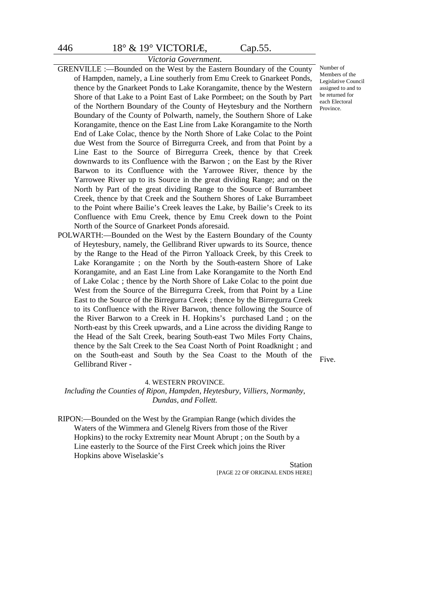# *Victoria Government.*

- GRENVILLE :—Bounded on the West by the Eastern Boundary of the County of Hampden, namely, a Line southerly from Emu Creek to Gnarkeet Ponds, thence by the Gnarkeet Ponds to Lake Korangamite, thence by the Western Shore of that Lake to a Point East of Lake Pormbeet; on the South by Part of the Northern Boundary of the County of Heytesbury and the Northern Boundary of the County of Polwarth, namely, the Southern Shore of Lake Korangamite, thence on the East Line from Lake Korangamite to the North End of Lake Colac, thence by the North Shore of Lake Colac to the Point due West from the Source of Birregurra Creek, and from that Point by a Line East to the Source of Birregurra Creek, thence by that Creek downwards to its Confluence with the Barwon ; on the East by the River Barwon to its Confluence with the Yarrowee River, thence by the Yarrowee River up to its Source in the great dividing Range; and on the North by Part of the great dividing Range to the Source of Burrambeet Creek, thence by that Creek and the Southern Shores of Lake Burrambeet to the Point where Bailie's Creek leaves the Lake, by Bailie's Creek to its Confluence with Emu Creek, thence by Emu Creek down to the Point North of the Source of Gnarkeet Ponds aforesaid.
- POLWARTH:—Bounded on the West by the Eastern Boundary of the County of Heytesbury, namely, the Gellibrand River upwards to its Source, thence by the Range to the Head of the Pirron Yalloack Creek, by this Creek to Lake Korangamite ; on the North by the South-eastern Shore of Lake Korangamite, and an East Line from Lake Korangamite to the North End of Lake Colac ; thence by the North Shore of Lake Colac to the point due West from the Source of the Birregurra Creek, from that Point by a Line East to the Source of the Birregurra Creek ; thence by the Birregurra Creek to its Confluence with the River Barwon, thence following the Source of the River Barwon to a Creek in H. Hopkins's purchased Land ; on the North-east by this Creek upwards, and a Line across the dividing Range to the Head of the Salt Creek, bearing South-east Two Miles Forty Chains, thence by the Salt Creek to the Sea Coast North of Point Roadknight ; and on the South-east and South by the Sea Coast to the Mouth of the Gellibrand River -

#### 4. WESTERN PROVINCE.

*Including the Counties of Ripon, Hampden, Heytesbury, Villiers, Normanby, Dundas, and Follett.*

RIPON:—Bounded on the West by the Grampian Range (which divides the Waters of the Wimmera and Glenelg Rivers from those of the River Hopkins) to the rocky Extremity near Mount Abrupt ; on the South by a Line easterly to the Source of the First Creek which joins the River Hopkins above Wiselaskie's

Station [PAGE 22 OF ORIGINAL ENDS HERE]

Number of Members of the Legislative Council assigned to and to be returned for each Electoral Province.

Five.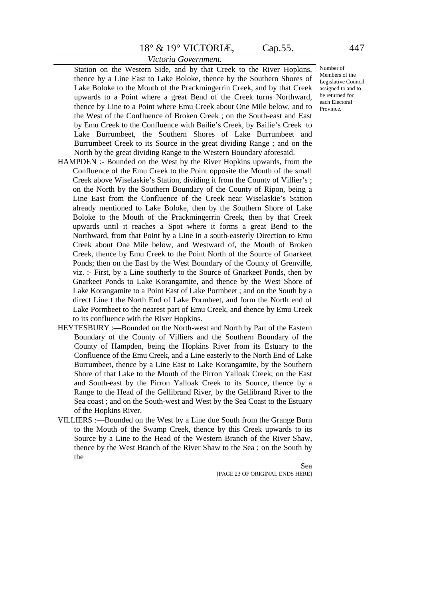#### *Victoria Government.*

Station on the Western Side, and by that Creek to the River Hopkins, thence by a Line East to Lake Boloke, thence by the Southern Shores of Lake Boloke to the Mouth of the Prackmingerrin Creek, and by that Creek upwards to a Point where a great Bend of the Creek turns Northward, thence by Line to a Point where Emu Creek about One Mile below, and to the West of the Confluence of Broken Creek ; on the South-east and East by Emu Creek to the Confluence with Bailie's Creek, by Bailie's Creek to Lake Burrumbeet, the Southern Shores of Lake Burrumbeet and Burrumbeet Creek to its Source in the great dividing Range ; and on the North by the great dividing Range to the Western Boundary aforesaid.

- HAMPDEN :- Bounded on the West by the River Hopkins upwards, from the Confluence of the Emu Creek to the Point opposite the Mouth of the small Creek above Wiselaskie's Station, dividing it from the County of Villier's ; on the North by the Southern Boundary of the County of Ripon, being a Line East from the Confluence of the Creek near Wiselaskie's Station already mentioned to Lake Boloke, then by the Southern Shore of Lake Boloke to the Mouth of the Prackmingerrin Creek, then by that Creek upwards until it reaches a Spot where it forms a great Bend to the Northward, from that Point by a Line in a south-easterly Direction to Emu Creek about One Mile below, and Westward of, the Mouth of Broken Creek, thence by Emu Creek to the Point North of the Source of Gnarkeet Ponds; then on the East by the West Boundary of the County of Grenville, viz. :- First, by a Line southerly to the Source of Gnarkeet Ponds, then by Gnarkeet Ponds to Lake Korangamite, and thence by the West Shore of Lake Korangamite to a Point East of Lake Pormbeet ; and on the South by a direct Line t the North End of Lake Pormbeet, and form the North end of Lake Pormbeet to the nearest part of Emu Creek, and thence by Emu Creek to its confluence with the River Hopkins.
- HEYTESBURY :—Bounded on the North-west and North by Part of the Eastern Boundary of the County of Villiers and the Southern Boundary of the County of Hampden, being the Hopkins River from its Estuary to the Confluence of the Emu Creek, and a Line easterly to the North End of Lake Burrumbeet, thence by a Line East to Lake Korangamite, by the Southern Shore of that Lake to the Mouth of the Pirron Yalloak Creek; on the East and South-east by the Pirron Yalloak Creek to its Source, thence by a Range to the Head of the Gellibrand River, by the Gellibrand River to the Sea coast ; and on the South-west and West by the Sea Coast to the Estuary of the Hopkins River.
- VILLIERS :—Bounded on the West by a Line due South from the Grange Burn to the Mouth of the Swamp Creek, thence by this Creek upwards to its Source by a Line to the Head of the Western Branch of the River Shaw, thence by the West Branch of the River Shaw to the Sea ; on the South by the

Sea [PAGE 23 OF ORIGINAL ENDS HERE] Number of Members of the Legislative Council assigned to and to be returned for each Electoral

Province.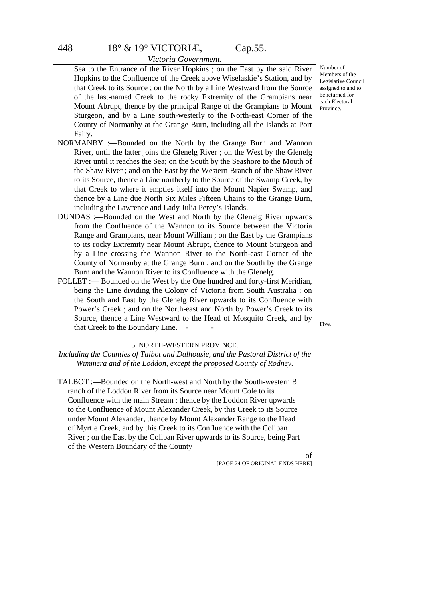Sea to the Entrance of the River Hopkins ; on the East by the said River Hopkins to the Confluence of the Creek above Wiselaskie's Station, and by that Creek to its Source ; on the North by a Line Westward from the Source of the last-named Creek to the rocky Extremity of the Grampians near Mount Abrupt, thence by the principal Range of the Grampians to Mount Sturgeon, and by a Line south-westerly to the North-east Corner of the County of Normanby at the Grange Burn, including all the Islands at Port Fairy.

- NORMANBY :—Bounded on the North by the Grange Burn and Wannon River, until the latter joins the Glenelg River ; on the West by the Glenelg River until it reaches the Sea; on the South by the Seashore to the Mouth of the Shaw River ; and on the East by the Western Branch of the Shaw River to its Source, thence a Line northerly to the Source of the Swamp Creek, by that Creek to where it empties itself into the Mount Napier Swamp, and thence by a Line due North Six Miles Fifteen Chains to the Grange Burn, including the Lawrence and Lady Julia Percy's Islands.
- DUNDAS :—Bounded on the West and North by the Glenelg River upwards from the Confluence of the Wannon to its Source between the Victoria Range and Grampians, near Mount William ; on the East by the Grampians to its rocky Extremity near Mount Abrupt, thence to Mount Sturgeon and by a Line crossing the Wannon River to the North-east Corner of the County of Normanby at the Grange Burn ; and on the South by the Grange Burn and the Wannon River to its Confluence with the Glenelg.
- FOLLET :— Bounded on the West by the One hundred and forty-first Meridian, being the Line dividing the Colony of Victoria from South Australia ; on the South and East by the Glenelg River upwards to its Confluence with Power's Creek ; and on the North-east and North by Power's Creek to its Source, thence a Line Westward to the Head of Mosquito Creek, and by that Creek to the Boundary Line.

Five.

#### 5. NORTH-WESTERN PROVINCE.

*Including the Counties of Talbot and Dalhousie, and the Pastoral District of the Wimmera and of the Loddon, except the proposed County of Rodney.*

TALBOT :—Bounded on the North-west and North by the South-western B ranch of the Loddon River from its Source near Mount Cole to its Confluence with the main Stream ; thence by the Loddon River upwards to the Confluence of Mount Alexander Creek, by this Creek to its Source under Mount Alexander, thence by Mount Alexander Range to the Head of Myrtle Creek, and by this Creek to its Confluence with the Coliban River ; on the East by the Coliban River upwards to its Source, being Part of the Western Boundary of the County

> of [PAGE 24 OF ORIGINAL ENDS HERE]

Number of Members of the Legislative Council assigned to and to be returned for each Electoral Province.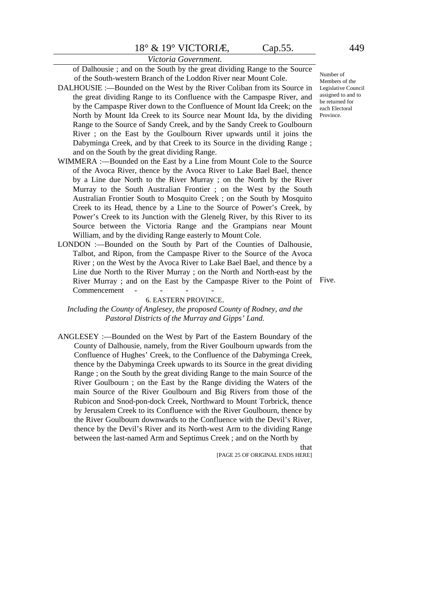of Dalhousie ; and on the South by the great dividing Range to the Source of the South-western Branch of the Loddon River near Mount Cole.

- DALHOUSIE :—Bounded on the West by the River Coliban from its Source in the great dividing Range to its Confluence with the Campaspe River, and by the Campaspe River down to the Confluence of Mount Ida Creek; on the North by Mount Ida Creek to its Source near Mount Ida, by the dividing Range to the Source of Sandy Creek, and by the Sandy Creek to Goulbourn River ; on the East by the Goulbourn River upwards until it joins the Dabyminga Creek, and by that Creek to its Source in the dividing Range ; and on the South by the great dividing Range.
- WIMMERA :—Bounded on the East by a Line from Mount Cole to the Source of the Avoca River, thence by the Avoca River to Lake Bael Bael, thence by a Line due North to the River Murray ; on the North by the River Murray to the South Australian Frontier ; on the West by the South Australian Frontier South to Mosquito Creek ; on the South by Mosquito Creek to its Head, thence by a Line to the Source of Power's Creek, by Power's Creek to its Junction with the Glenelg River, by this River to its Source between the Victoria Range and the Grampians near Mount William, and by the dividing Range easterly to Mount Cole.
- LONDON :- Bounded on the South by Part of the Counties of Dalhousie, Talbot, and Ripon, from the Campaspe River to the Source of the Avoca River ; on the West by the Avoca River to Lake Bael Bael, and thence by a Line due North to the River Murray ; on the North and North-east by the River Murray ; and on the East by the Campaspe River to the Point of Five.Commencement - - - -

#### 6. EASTERN PROVINCE.

*Including the County of Anglesey, the proposed County of Rodney, and the Pastoral Districts of the Murray and Gipps' Land.*

ANGLESEY :—Bounded on the West by Part of the Eastern Boundary of the County of Dalhousie, namely, from the River Goulbourn upwards from the Confluence of Hughes' Creek, to the Confluence of the Dabyminga Creek, thence by the Dabyminga Creek upwards to its Source in the great dividing Range ; on the South by the great dividing Range to the main Source of the River Goulbourn ; on the East by the Range dividing the Waters of the main Source of the River Goulbourn and Big Rivers from those of the Rubicon and Snod-pon-dock Creek, Northward to Mount Torbrick, thence by Jerusalem Creek to its Confluence with the River Goulbourn, thence by the River Goulbourn downwards to the Confluence with the Devil's River, thence by the Devil's River and its North-west Arm to the dividing Range between the last-named Arm and Septimus Creek ; and on the North by

> that [PAGE 25 OF ORIGINAL ENDS HERE]

Number of Members of the Legislative Council assigned to and to be returned for each Electoral Province.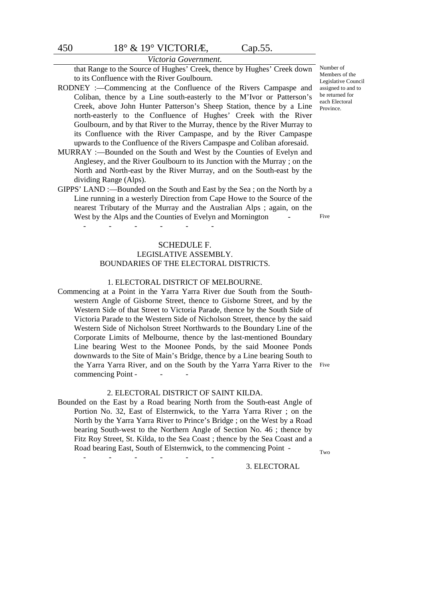that Range to the Source of Hughes' Creek, thence by Hughes' Creek down to its Confluence with the River Goulbourn.

- RODNEY :—Commencing at the Confluence of the Rivers Campaspe and Coliban, thence by a Line south-easterly to the M'Ivor or Patterson's Creek, above John Hunter Patterson's Sheep Station, thence by a Line north-easterly to the Confluence of Hughes' Creek with the River Goulbourn, and by that River to the Murray, thence by the River Murray to its Confluence with the River Campaspe, and by the River Campaspe upwards to the Confluence of the Rivers Campaspe and Coliban aforesaid.
- MURRAY :—Bounded on the South and West by the Counties of Evelyn and Anglesey, and the River Goulbourn to its Junction with the Murray ; on the North and North-east by the River Murray, and on the South-east by the dividing Range (Alps).
- GIPPS' LAND :—Bounded on the South and East by the Sea ; on the North by a Line running in a westerly Direction from Cape Howe to the Source of the nearest Tributary of the Murray and the Australian Alps ; again, on the West by the Alps and the Counties of Evelyn and Mornington

------

#### SCHEDULE F.

#### LEGISLATIVE ASSEMBLY. BOUNDARIES OF THE ELECTORAL DISTRICTS.

#### 1. ELECTORAL DISTRICT OF MELBOURNE.

Commencing at a Point in the Yarra Yarra River due South from the Southwestern Angle of Gisborne Street, thence to Gisborne Street, and by the Western Side of that Street to Victoria Parade, thence by the South Side of Victoria Parade to the Western Side of Nicholson Street, thence by the said Western Side of Nicholson Street Northwards to the Boundary Line of the Corporate Limits of Melbourne, thence by the last-mentioned Boundary Line bearing West to the Moonee Ponds, by the said Moonee Ponds downwards to the Site of Main's Bridge, thence by a Line bearing South to the Yarra Yarra River, and on the South by the Yarra Yarra River to the Five commencing Point -

#### 2. ELECTORAL DISTRICT OF SAINT KILDA.

Bounded on the East by a Road bearing North from the South-east Angle of Portion No. 32, East of Elsternwick, to the Yarra Yarra River ; on the North by the Yarra Yarra River to Prince's Bridge ; on the West by a Road bearing South-west to the Northern Angle of Section No. 46 ; thence by Fitz Roy Street, St. Kilda, to the Sea Coast ; thence by the Sea Coast and a Road bearing East, South of Elsternwick, to the commencing Point -

------

Two

#### 3. ELECTORAL

Number of Members of the Legislative Council assigned to and to be returned for each Electoral Province.

Five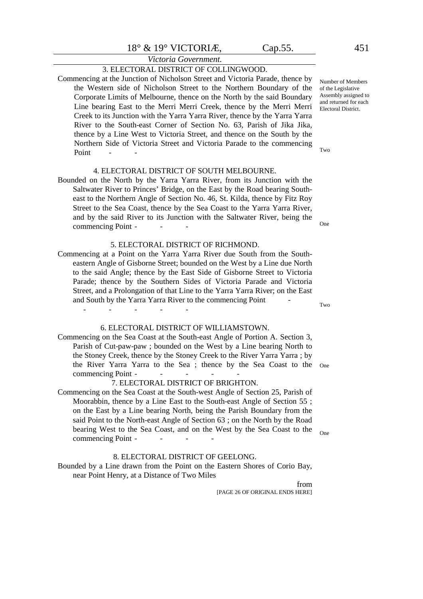#### *Victoria Government.* 3. ELECTORAL DISTRICT OF COLLINGWOOD.

Commencing at the Junction of Nicholson Street and Victoria Parade, thence by the Western side of Nicholson Street to the Northern Boundary of the Corporate Limits of Melbourne, thence on the North by the said Boundary Line bearing East to the Merri Merri Creek, thence by the Merri Merri Creek to its Junction with the Yarra Yarra River, thence by the Yarra Yarra River to the South-east Corner of Section No. 63, Parish of Jika Jika, thence by a Line West to Victoria Street, and thence on the South by the Northern Side of Victoria Street and Victoria Parade to the commencing Point

#### 4. ELECTORAL DISTRICT OF SOUTH MELBOURNE.

Bounded on the North by the Yarra Yarra River, from its Junction with the Saltwater River to Princes' Bridge, on the East by the Road bearing Southeast to the Northern Angle of Section No. 46, St. Kilda, thence by Fitz Roy Street to the Sea Coast, thence by the Sea Coast to the Yarra Yarra River, and by the said River to its Junction with the Saltwater River, being the commencing Point -

#### 5. ELECTORAL DISTRICT OF RICHMOND.

Commencing at a Point on the Yarra Yarra River due South from the Southeastern Angle of Gisborne Street; bounded on the West by a Line due North to the said Angle; thence by the East Side of Gisborne Street to Victoria Parade; thence by the Southern Sides of Victoria Parade and Victoria Street, and a Prolongation of that Line to the Yarra Yarra River; on the East and South by the Yarra Yarra River to the commencing Point - -----

#### 6. ELECTORAL DISTRICT OF WILLIAMSTOWN.

Commencing on the Sea Coast at the South-east Angle of Portion A. Section 3, Parish of Cut-paw-paw ; bounded on the West by a Line bearing North to the Stoney Creek, thence by the Stoney Creek to the River Yarra Yarra ; by the River Yarra Yarra to the Sea ; thence by the Sea Coast to the One commencing Point -

#### 7. ELECTORAL DISTRICT OF BRIGHTON.

Commencing on the Sea Coast at the South-west Angle of Section 25, Parish of Moorabbin, thence by a Line East to the South-east Angle of Section 55 ; on the East by a Line bearing North, being the Parish Boundary from the said Point to the North-east Angle of Section 63 ; on the North by the Road bearing West to the Sea Coast, and on the West by the Sea Coast to the commencing Point -

#### 8. ELECTORAL DISTRICT OF GEELONG.

Bounded by a Line drawn from the Point on the Eastern Shores of Corio Bay, near Point Henry, at a Distance of Two Miles

> from [PAGE 26 OF ORIGINAL ENDS HERE]

Number of Members of the Legislative Assembly assigned to and returned for each Electoral District.

Two

One

Two

One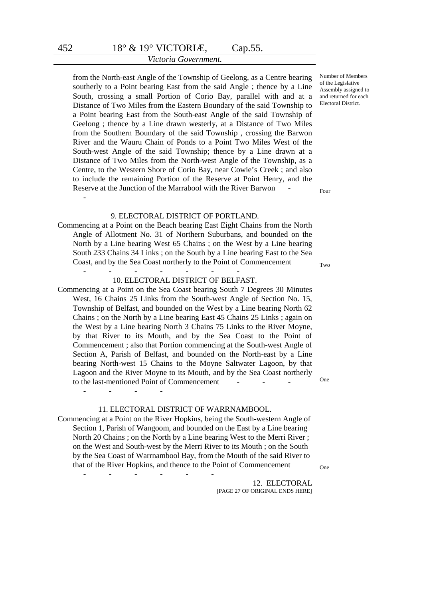from the North-east Angle of the Township of Geelong, as a Centre bearing southerly to a Point bearing East from the said Angle ; thence by a Line South, crossing a small Portion of Corio Bay, parallel with and at a Distance of Two Miles from the Eastern Boundary of the said Township to a Point bearing East from the South-east Angle of the said Township of Geelong ; thence by a Line drawn westerly, at a Distance of Two Miles from the Southern Boundary of the said Township , crossing the Barwon River and the Wauru Chain of Ponds to a Point Two Miles West of the South-west Angle of the said Township; thence by a Line drawn at a Distance of Two Miles from the North-west Angle of the Township, as a Centre, to the Western Shore of Corio Bay, near Cowie's Creek ; and also to include the remaining Portion of the Reserve at Point Henry, and the Reserve at the Junction of the Marrabool with the River Barwon -

#### 9. ELECTORAL DISTRICT OF PORTLAND.

Commencing at a Point on the Beach bearing East Eight Chains from the North Angle of Allotment No. 31 of Northern Suburbans, and bounded on the North by a Line bearing West 65 Chains ; on the West by a Line bearing South 233 Chains 34 Links ; on the South by a Line bearing East to the Sea Coast, and by the Sea Coast northerly to the Point of Commencement

#### ------- 10. ELECTORAL DISTRICT OF BELFAST.

Commencing at a Point on the Sea Coast bearing South 7 Degrees 30 Minutes West, 16 Chains 25 Links from the South-west Angle of Section No. 15, Township of Belfast, and bounded on the West by a Line bearing North 62 Chains ; on the North by a Line bearing East 45 Chains 25 Links ; again on the West by a Line bearing North 3 Chains 75 Links to the River Moyne, by that River to its Mouth, and by the Sea Coast to the Point of Commencement ; also that Portion commencing at the South-west Angle of Section A, Parish of Belfast, and bounded on the North-east by a Line bearing North-west 15 Chains to the Moyne Saltwater Lagoon, by that Lagoon and the River Moyne to its Mouth, and by the Sea Coast northerly to the last-mentioned Point of Commencement

#### 11. ELECTORAL DISTRICT OF WARRNAMBOOL.

Commencing at a Point on the River Hopkins, being the South-western Angle of Section 1, Parish of Wangoom, and bounded on the East by a Line bearing North 20 Chains ; on the North by a Line bearing West to the Merri River ; on the West and South-west by the Merri River to its Mouth ; on the South by the Sea Coast of Warrnambool Bay, from the Mouth of the said River to that of the River Hopkins, and thence to the Point of Commencement

------

----

 12. ELECTORAL [PAGE 27 OF ORIGINAL ENDS HERE] Number of Members of the Legislative Assembly assigned to and returned for each Electoral District.

Four

Two

One

One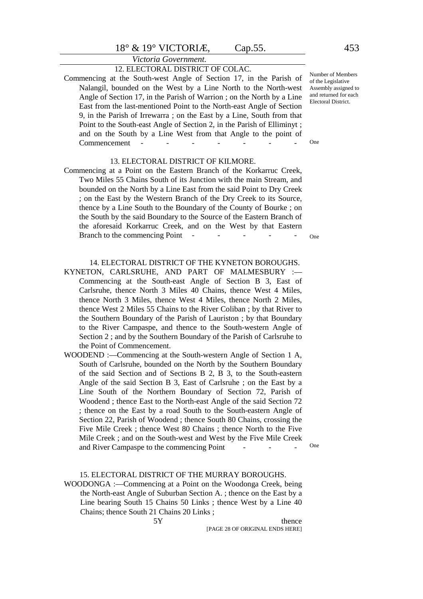*Victoria Government.*

#### 12. ELECTORAL DISTRICT OF COLAC.

Commencing at the South-west Angle of Section 17, in the Parish of Nalangil, bounded on the West by a Line North to the North-west Angle of Section 17, in the Parish of Warrion ; on the North by a Line East from the last-mentioned Point to the North-east Angle of Section 9, in the Parish of Irrewarra ; on the East by a Line, South from that Point to the South-east Angle of Section 2, in the Parish of Elliminyt ; and on the South by a Line West from that Angle to the point of Commencement

#### 13. ELECTORAL DISTRICT OF KILMORE.

Commencing at a Point on the Eastern Branch of the Korkarruc Creek, Two Miles 55 Chains South of its Junction with the main Stream, and bounded on the North by a Line East from the said Point to Dry Creek ; on the East by the Western Branch of the Dry Creek to its Source, thence by a Line South to the Boundary of the County of Bourke ; on the South by the said Boundary to the Source of the Eastern Branch of the aforesaid Korkarruc Creek, and on the West by that Eastern Branch to the commencing Point -

14. ELECTORAL DISTRICT OF THE KYNETON BOROUGHS.

- KYNETON, CARLSRUHE, AND PART OF MALMESBURY :— Commencing at the South-east Angle of Section B 3, East of Carlsruhe, thence North 3 Miles 40 Chains, thence West 4 Miles, thence North 3 Miles, thence West 4 Miles, thence North 2 Miles, thence West 2 Miles 55 Chains to the River Coliban ; by that River to the Southern Boundary of the Parish of Lauriston ; by that Boundary to the River Campaspe, and thence to the South-western Angle of Section 2 ; and by the Southern Boundary of the Parish of Carlsruhe to the Point of Commencement.
- WOODEND :—Commencing at the South-western Angle of Section 1 A, South of Carlsruhe, bounded on the North by the Southern Boundary of the said Section and of Sections B 2, B 3, to the South-eastern Angle of the said Section B 3, East of Carlsruhe ; on the East by a Line South of the Northern Boundary of Section 72, Parish of Woodend ; thence East to the North-east Angle of the said Section 72 ; thence on the East by a road South to the South-eastern Angle of Section 22, Parish of Woodend ; thence South 80 Chains, crossing the Five Mile Creek ; thence West 80 Chains ; thence North to the Five Mile Creek ; and on the South-west and West by the Five Mile Creek and River Campaspe to the commencing Point
	- 15. ELECTORAL DISTRICT OF THE MURRAY BOROUGHS.
- WOODONGA :—Commencing at a Point on the Woodonga Creek, being the North-east Angle of Suburban Section A. ; thence on the East by a Line bearing South 15 Chains 50 Links ; thence West by a Line 40 Chains; thence South 21 Chains 20 Links ;

5Y thence [PAGE 28 OF ORIGINAL ENDS HERE] Number of Members of the Legislative Assembly assigned to and returned for each Electoral District.

One

One

One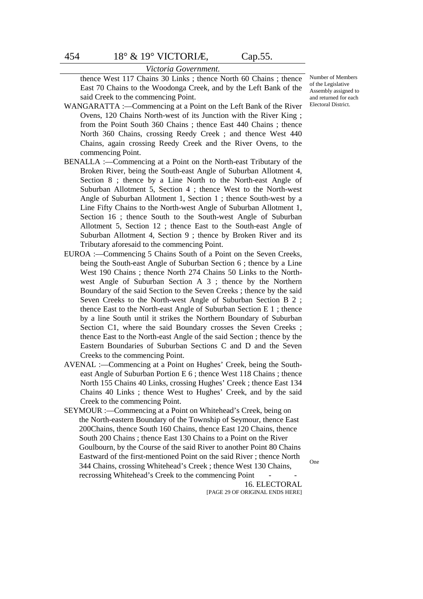thence West 117 Chains 30 Links ; thence North 60 Chains ; thence East 70 Chains to the Woodonga Creek, and by the Left Bank of the said Creek to the commencing Point.

WANGARATTA :—Commencing at a Point on the Left Bank of the River Ovens, 120 Chains North-west of its Junction with the River King ; from the Point South 360 Chains ; thence East 440 Chains ; thence North 360 Chains, crossing Reedy Creek ; and thence West 440 Chains, again crossing Reedy Creek and the River Ovens, to the commencing Point.

- BENALLA :—Commencing at a Point on the North-east Tributary of the Broken River, being the South-east Angle of Suburban Allotment 4, Section 8 ; thence by a Line North to the North-east Angle of Suburban Allotment 5, Section 4 ; thence West to the North-west Angle of Suburban Allotment 1, Section 1 ; thence South-west by a Line Fifty Chains to the North-west Angle of Suburban Allotment 1, Section 16 ; thence South to the South-west Angle of Suburban Allotment 5, Section 12 ; thence East to the South-east Angle of Suburban Allotment 4, Section 9 ; thence by Broken River and its Tributary aforesaid to the commencing Point.
- EUROA :—Commencing 5 Chains South of a Point on the Seven Creeks, being the South-east Angle of Suburban Section 6 ; thence by a Line West 190 Chains ; thence North 274 Chains 50 Links to the Northwest Angle of Suburban Section A 3 ; thence by the Northern Boundary of the said Section to the Seven Creeks ; thence by the said Seven Creeks to the North-west Angle of Suburban Section B 2 ; thence East to the North-east Angle of Suburban Section E 1 ; thence by a line South until it strikes the Northern Boundary of Suburban Section C1, where the said Boundary crosses the Seven Creeks; thence East to the North-east Angle of the said Section ; thence by the Eastern Boundaries of Suburban Sections C and D and the Seven Creeks to the commencing Point.
- AVENAL :—Commencing at a Point on Hughes' Creek, being the Southeast Angle of Suburban Portion E 6 ; thence West 118 Chains ; thence North 155 Chains 40 Links, crossing Hughes' Creek ; thence East 134 Chains 40 Links ; thence West to Hughes' Creek, and by the said Creek to the commencing Point.
- SEYMOUR :—Commencing at a Point on Whitehead's Creek, being on the North-eastern Boundary of the Township of Seymour, thence East 200Chains, thence South 160 Chains, thence East 120 Chains, thence South 200 Chains ; thence East 130 Chains to a Point on the River Goulbourn, by the Course of the said River to another Point 80 Chains Eastward of the first-mentioned Point on the said River ; thence North 344 Chains, crossing Whitehead's Creek ; thence West 130 Chains, recrossing Whitehead's Creek to the commencing Point

16. ELECTORAL [PAGE 29 OF ORIGINAL ENDS HERE] One

Number of Members of the Legislative Assembly assigned to and returned for each Electoral District.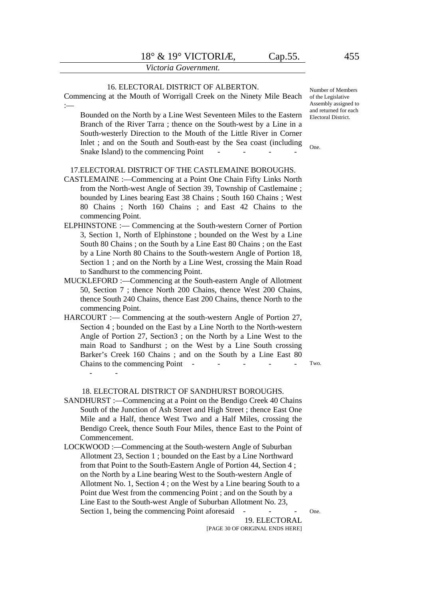#### 16. ELECTORAL DISTRICT OF ALBERTON.

Commencing at the Mouth of Worrigall Creek on the Ninety Mile Beach :— Bounded on the North by a Line West Seventeen Miles to the Eastern Branch of the River Tarra ; thence on the South-west by a Line in a South-westerly Direction to the Mouth of the Little River in Corner Inlet ; and on the South and South-east by the Sea coast (including Snake Island) to the commencing Point 17.ELECTORAL DISTRICT OF THE CASTLEMAINE BOROUGHS. CASTLEMAINE :—Commencing at a Point One Chain Fifty Links North from the North-west Angle of Section 39, Township of Castlemaine ; bounded by Lines bearing East 38 Chains ; South 160 Chains ; West 80 Chains ; North 160 Chains ; and East 42 Chains to the commencing Point. ELPHINSTONE :— Commencing at the South-western Corner of Portion 3, Section 1, North of Elphinstone ; bounded on the West by a Line South 80 Chains ; on the South by a Line East 80 Chains ; on the East by a Line North 80 Chains to the South-western Angle of Portion 18, Section 1; and on the North by a Line West, crossing the Main Road to Sandhurst to the commencing Point. MUCKLEFORD :—Commencing at the South-eastern Angle of Allotment 50, Section 7 ; thence North 200 Chains, thence West 200 Chains, thence South 240 Chains, thence East 200 Chains, thence North to the commencing Point. HARCOURT :— Commencing at the south-western Angle of Portion 27, Section 4 ; bounded on the East by a Line North to the North-western Angle of Portion 27, Section3 ; on the North by a Line West to the main Road to Sandhurst ; on the West by a Line South crossing Barker's Creek 160 Chains ; and on the South by a Line East 80 Chains to the commencing Point -- - 18. ELECTORAL DISTRICT OF SANDHURST BOROUGHS. SANDHURST :—Commencing at a Point on the Bendigo Creek 40 Chains South of the Junction of Ash Street and High Street ; thence East One Mile and a Half, thence West Two and a Half Miles, crossing the One. Two.

- Bendigo Creek, thence South Four Miles, thence East to the Point of Commencement. LOCKWOOD :—Commencing at the South-western Angle of Suburban
- Allotment 23, Section 1 ; bounded on the East by a Line Northward from that Point to the South-Eastern Angle of Portion 44, Section 4 ; on the North by a Line bearing West to the South-western Angle of Allotment No. 1, Section 4 ; on the West by a Line bearing South to a Point due West from the commencing Point ; and on the South by a Line East to the South-west Angle of Suburban Allotment No. 23, Section 1, being the commencing Point aforesaid

19. ELECTORAL [PAGE 30 OF ORIGINAL ENDS HERE] Number of Members of the Legislative Assembly assigned to and returned for each Electoral District.

One.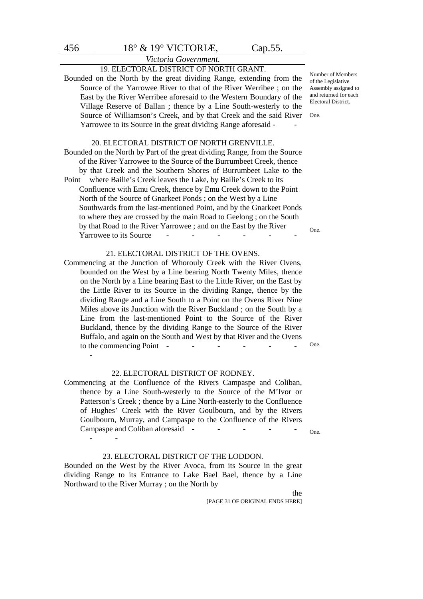# *Victoria Government.*

# 19. ELECTORAL DISTRICT OF NORTH GRANT.

Bounded on the North by the great dividing Range, extending from the Source of the Yarrowee River to that of the River Werribee ; on the East by the River Werribee aforesaid to the Western Boundary of the Village Reserve of Ballan ; thence by a Line South-westerly to the Source of Williamson's Creek, and by that Creek and the said River Yarrowee to its Source in the great dividing Range aforesaid - -

#### 20. ELECTORAL DISTRICT OF NORTH GRENVILLE.

Bounded on the North by Part of the great dividing Range, from the Source of the River Yarrowee to the Source of the Burrumbeet Creek, thence by that Creek and the Southern Shores of Burrumbeet Lake to the Point where Bailie's Creek leaves the Lake, by Bailie's Creek to its Confluence with Emu Creek, thence by Emu Creek down to the Point North of the Source of Gnarkeet Ponds ; on the West by a Line Southwards from the last-mentioned Point, and by the Gnarkeet Ponds to where they are crossed by the main Road to Geelong ; on the South by that Road to the River Yarrowee ; and on the East by the River Yarrowee to its Source -

#### 21. ELECTORAL DISTRICT OF THE OVENS.

Commencing at the Junction of Whorouly Creek with the River Ovens, bounded on the West by a Line bearing North Twenty Miles, thence on the North by a Line bearing East to the Little River, on the East by the Little River to its Source in the dividing Range, thence by the dividing Range and a Line South to a Point on the Ovens River Nine Miles above its Junction with the River Buckland ; on the South by a Line from the last-mentioned Point to the Source of the River Buckland, thence by the dividing Range to the Source of the River Buffalo, and again on the South and West by that River and the Ovens to the commencing Point  $-$ 

#### 22. ELECTORAL DISTRICT OF RODNEY.

Commencing at the Confluence of the Rivers Campaspe and Coliban, thence by a Line South-westerly to the Source of the M'Ivor or Patterson's Creek ; thence by a Line North-easterly to the Confluence of Hughes' Creek with the River Goulbourn, and by the Rivers Goulbourn, Murray, and Campaspe to the Confluence of the Rivers Campaspe and Coliban aforesaid -

#### 23. ELECTORAL DISTRICT OF THE LODDON.

Bounded on the West by the River Avoca, from its Source in the great dividing Range to its Entrance to Lake Bael Bael, thence by a Line Northward to the River Murray ; on the North by

the

[PAGE 31 OF ORIGINAL ENDS HERE]

Number of Members of the Legislative Assembly assigned to and returned for each Electoral District.

One.

One.

One.

One.

-

- -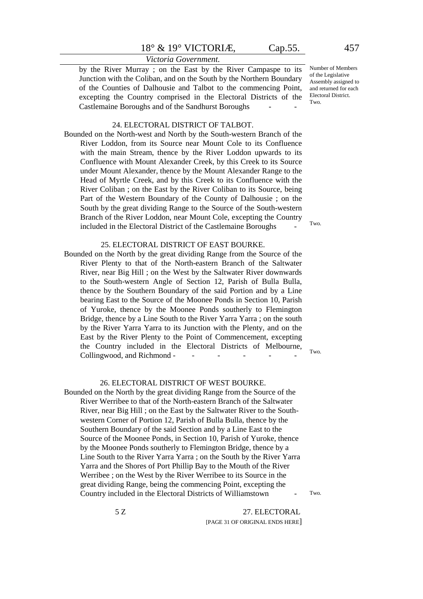#### *Victoria Government.*

by the River Murray ; on the East by the River Campaspe to its Junction with the Coliban, and on the South by the Northern Boundary of the Counties of Dalhousie and Talbot to the commencing Point, excepting the Country comprised in the Electoral Districts of the Castlemaine Boroughs and of the Sandhurst Boroughs

#### 24. ELECTORAL DISTRICT OF TALBOT.

Bounded on the North-west and North by the South-western Branch of the River Loddon, from its Source near Mount Cole to its Confluence with the main Stream, thence by the River Loddon upwards to its Confluence with Mount Alexander Creek, by this Creek to its Source under Mount Alexander, thence by the Mount Alexander Range to the Head of Myrtle Creek, and by this Creek to its Confluence with the River Coliban ; on the East by the River Coliban to its Source, being Part of the Western Boundary of the County of Dalhousie ; on the South by the great dividing Range to the Source of the South-western Branch of the River Loddon, near Mount Cole, excepting the Country included in the Electoral District of the Castlemaine Boroughs -

#### 25. ELECTORAL DISTRICT OF EAST BOURKE.

Bounded on the North by the great dividing Range from the Source of the River Plenty to that of the North-eastern Branch of the Saltwater River, near Big Hill ; on the West by the Saltwater River downwards to the South-western Angle of Section 12, Parish of Bulla Bulla, thence by the Southern Boundary of the said Portion and by a Line bearing East to the Source of the Moonee Ponds in Section 10, Parish of Yuroke, thence by the Moonee Ponds southerly to Flemington Bridge, thence by a Line South to the River Yarra Yarra ; on the south by the River Yarra Yarra to its Junction with the Plenty, and on the East by the River Plenty to the Point of Commencement, excepting the Country included in the Electoral Districts of Melbourne, Collingwood, and Richmond -

#### 26. ELECTORAL DISTRICT OF WEST BOURKE.

Bounded on the North by the great dividing Range from the Source of the River Werribee to that of the North-eastern Branch of the Saltwater River, near Big Hill ; on the East by the Saltwater River to the Southwestern Corner of Portion 12, Parish of Bulla Bulla, thence by the Southern Boundary of the said Section and by a Line East to the Source of the Moonee Ponds, in Section 10, Parish of Yuroke, thence by the Moonee Ponds southerly to Flemington Bridge, thence by a Line South to the River Yarra Yarra ; on the South by the River Yarra Yarra and the Shores of Port Phillip Bay to the Mouth of the River Werribee ; on the West by the River Werribee to its Source in the great dividing Range, being the commencing Point, excepting the Country included in the Electoral Districts of Williamstown -

Two.

Two.

Two.

Two.

5 Z 27. ELECTORAL [PAGE 31 OF ORIGINAL ENDS HERE]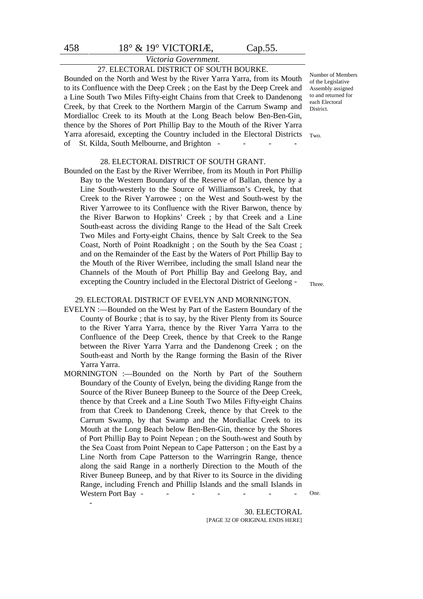# *Victoria Government.*

### 27. ELECTORAL DISTRICT OF SOUTH BOURKE.

Bounded on the North and West by the River Yarra Yarra, from its Mouth to its Confluence with the Deep Creek ; on the East by the Deep Creek and a Line South Two Miles Fifty-eight Chains from that Creek to Dandenong Creek, by that Creek to the Northern Margin of the Carrum Swamp and Mordialloc Creek to its Mouth at the Long Beach below Ben-Ben-Gin, thence by the Shores of Port Phillip Bay to the Mouth of the River Yarra Yarra aforesaid, excepting the Country included in the Electoral Districts of St. Kilda, South Melbourne, and Brighton --

#### 28. ELECTORAL DISTRICT OF SOUTH GRANT.

Bounded on the East by the River Werribee, from its Mouth in Port Phillip Bay to the Western Boundary of the Reserve of Ballan, thence by a Line South-westerly to the Source of Williamson's Creek, by that Creek to the River Yarrowee ; on the West and South-west by the River Yarrowee to its Confluence with the River Barwon, thence by the River Barwon to Hopkins' Creek ; by that Creek and a Line South-east across the dividing Range to the Head of the Salt Creek Two Miles and Forty-eight Chains, thence by Salt Creek to the Sea Coast, North of Point Roadknight ; on the South by the Sea Coast ; and on the Remainder of the East by the Waters of Port Phillip Bay to the Mouth of the River Werribee, including the small Island near the Channels of the Mouth of Port Phillip Bay and Geelong Bay, and excepting the Country included in the Electoral District of Geelong -

29. ELECTORAL DISTRICT OF EVELYN AND MORNINGTON.

- EVELYN :—Bounded on the West by Part of the Eastern Boundary of the County of Bourke ; that is to say, by the River Plenty from its Source to the River Yarra Yarra, thence by the River Yarra Yarra to the Confluence of the Deep Creek, thence by that Creek to the Range between the River Yarra Yarra and the Dandenong Creek ; on the South-east and North by the Range forming the Basin of the River Yarra Yarra.
- MORNINGTON :—Bounded on the North by Part of the Southern Boundary of the County of Evelyn, being the dividing Range from the Source of the River Buneep Buneep to the Source of the Deep Creek, thence by that Creek and a Line South Two Miles Fifty-eight Chains from that Creek to Dandenong Creek, thence by that Creek to the Carrum Swamp, by that Swamp and the Mordiallac Creek to its Mouth at the Long Beach below Ben-Ben-Gin, thence by the Shores of Port Phillip Bay to Point Nepean ; on the South-west and South by the Sea Coast from Point Nepean to Cape Patterson ; on the East by a Line North from Cape Patterson to the Warringrin Range, thence along the said Range in a northerly Direction to the Mouth of the River Buneep Buneep, and by that River to its Source in the dividing Range, including French and Phillip Islands and the small Islands in Western Port Bay -

-

Number of Members of the Legislative Assembly assigned to and returned for each Electoral **District.** 

Two.

Three.

One.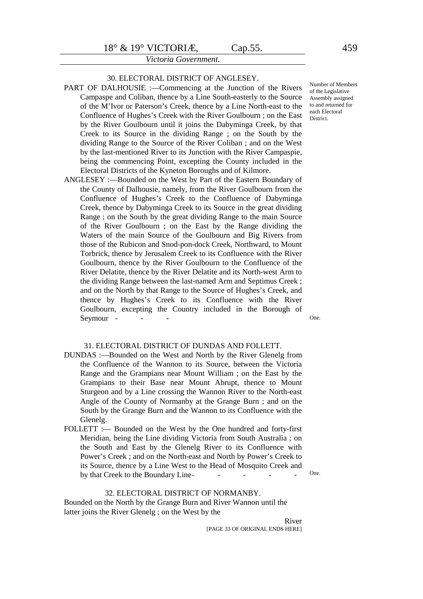#### 30. ELECTORAL DISTRICT OF ANGLESEY.

- PART OF DALHOUSIE :—Commencing at the Junction of the Rivers Campaspe and Coliban, thence by a Line South-easterly to the Source of the M'Ivor or Paterson's Creek, thence by a Line North-east to the Confluence of Hughes's Creek with the River Goulbourn ; on the East by the River Goulbourn until it joins the Dabyminga Creek, by that Creek to its Source in the dividing Range ; on the South by the dividing Range to the Source of the River Coliban ; and on the West by the last-mentioned River to its Junction with the River Campaspie, being the commencing Point, excepting the County included in the Electoral Districts of the Kyneton Boroughs and of Kilmore.
- ANGLESEY :—Bounded on the West by Part of the Eastern Boundary of the County of Dalhousie, namely, from the River Goulbourn from the Confluence of Hughes's Creek to the Confluence of Dabyminga Creek, thence by Dabyminga Creek to its Source in the great dividing Range ; on the South by the great dividing Range to the main Source of the River Goulbourn ; on the East by the Range dividing the Waters of the main Source of the Goulbourn and Big Rivers from those of the Rubicon and Snod-pon-dock Creek, Northward, to Mount Torbrick, thence by Jerusalem Creek to its Confluence with the River Goulbourn, thence by the River Goulbourn to the Confluence of the River Delatite, thence by the River Delatite and its North-west Arm to the dividing Range between the last-named Arm and Septimus Creek ; and on the North by that Range to the Source of Hughes's Creek, and thence by Hughes's Creek to its Confluence with the River Goulbourn, excepting the Country included in the Borough of Seymour -

#### Number of Members of the Legislative Assembly assigned to and returned for each Electoral District.

One.

#### 31. ELECTORAL DISTRICT OF DUNDAS AND FOLLETT.

- DUNDAS :—Bounded on the West and North by the River Glenelg from the Confluence of the Wannon to its Source, between the Victoria Range and the Grampians near Mount William ; on the East by the Grampians to their Base near Mount Abrupt, thence to Mount Sturgeon and by a Line crossing the Wannon River to the North-east Angle of the County of Normanby at the Grange Burn ; and on the South by the Grange Burn and the Wannon to its Confluence with the Glenelg.
- FOLLETT :— Bounded on the West by the One hundred and forty-first Meridian, being the Line dividing Victoria from South Australia ; on the South and East by the Glenelg River to its Confluence with Power's Creek ; and on the North-east and North by Power's Creek to its Source, thence by a Line West to the Head of Mosquito Creek and by that Creek to the Boundary Line-

One.

#### 32. ELECTORAL DISTRICT OF NORMANBY.

Bounded on the North by the Grange Burn and River Wannon until the latter joins the River Glenelg ; on the West by the

> River [PAGE 33 OF ORIGINAL ENDS HERE]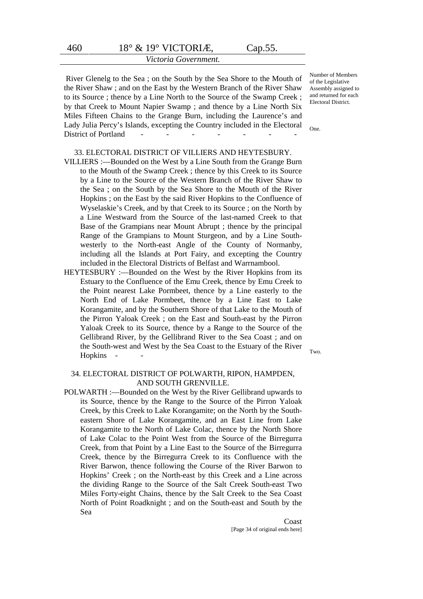#### *Victoria Government.*

 River Glenelg to the Sea ; on the South by the Sea Shore to the Mouth of the River Shaw ; and on the East by the Western Branch of the River Shaw to its Source ; thence by a Line North to the Source of the Swamp Creek ; by that Creek to Mount Napier Swamp ; and thence by a Line North Six Miles Fifteen Chains to the Grange Burn, including the Laurence's and Lady Julia Percy's Islands, excepting the Country included in the Electoral District of Portland - - - - - - -

Number of Members of the Legislative Assembly assigned to and returned for each Electoral District.

One.

#### 33. ELECTORAL DISTRICT OF VILLIERS AND HEYTESBURY.

- VILLIERS :—Bounded on the West by a Line South from the Grange Burn to the Mouth of the Swamp Creek ; thence by this Creek to its Source by a Line to the Source of the Western Branch of the River Shaw to the Sea ; on the South by the Sea Shore to the Mouth of the River Hopkins ; on the East by the said River Hopkins to the Confluence of Wyselaskie's Creek, and by that Creek to its Source ; on the North by a Line Westward from the Source of the last-named Creek to that Base of the Grampians near Mount Abrupt ; thence by the principal Range of the Grampians to Mount Sturgeon, and by a Line Southwesterly to the North-east Angle of the County of Normanby, including all the Islands at Port Fairy, and excepting the Country included in the Electoral Districts of Belfast and Warrnambool.
- HEYTESBURY :—Bounded on the West by the River Hopkins from its Estuary to the Confluence of the Emu Creek, thence by Emu Creek to the Point nearest Lake Pormbeet, thence by a Line easterly to the North End of Lake Pormbeet, thence by a Line East to Lake Korangamite, and by the Southern Shore of that Lake to the Mouth of the Pirron Yaloak Creek ; on the East and South-east by the Pirron Yaloak Creek to its Source, thence by a Range to the Source of the Gellibrand River, by the Gellibrand River to the Sea Coast ; and on the South-west and West by the Sea Coast to the Estuary of the River Hopkins - -

#### 34. ELECTORAL DISTRICT OF POLWARTH, RIPON, HAMPDEN, AND SOUTH GRENVILLE.

POLWARTH :—Bounded on the West by the River Gellibrand upwards to its Source, thence by the Range to the Source of the Pirron Yaloak Creek, by this Creek to Lake Korangamite; on the North by the Southeastern Shore of Lake Korangamite, and an East Line from Lake Korangamite to the North of Lake Colac, thence by the North Shore of Lake Colac to the Point West from the Source of the Birregurra Creek, from that Point by a Line East to the Source of the Birregurra Creek, thence by the Birregurra Creek to its Confluence with the River Barwon, thence following the Course of the River Barwon to Hopkins' Creek ; on the North-east by this Creek and a Line across the dividing Range to the Source of the Salt Creek South-east Two Miles Forty-eight Chains, thence by the Salt Creek to the Sea Coast North of Point Roadknight ; and on the South-east and South by the Sea

> Coast [Page 34 of original ends here]

Two.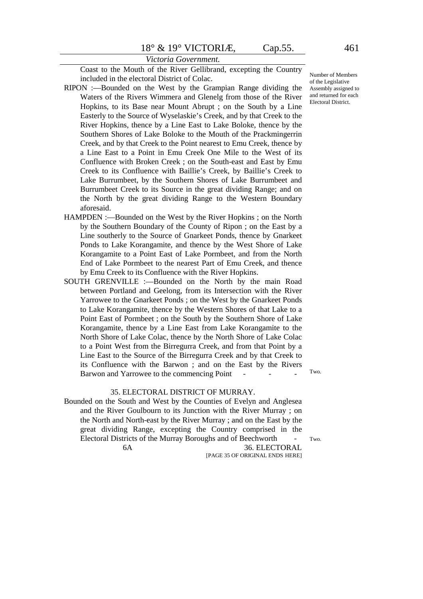Coast to the Mouth of the River Gellibrand, excepting the Country included in the electoral District of Colac.

- RIPON :—Bounded on the West by the Grampian Range dividing the Waters of the Rivers Wimmera and Glenelg from those of the River Hopkins, to its Base near Mount Abrupt ; on the South by a Line Easterly to the Source of Wyselaskie's Creek, and by that Creek to the River Hopkins, thence by a Line East to Lake Boloke, thence by the Southern Shores of Lake Boloke to the Mouth of the Prackmingerrin Creek, and by that Creek to the Point nearest to Emu Creek, thence by a Line East to a Point in Emu Creek One Mile to the West of its Confluence with Broken Creek ; on the South-east and East by Emu Creek to its Confluence with Baillie's Creek, by Baillie's Creek to Lake Burrumbeet, by the Southern Shores of Lake Burrumbeet and Burrumbeet Creek to its Source in the great dividing Range; and on the North by the great dividing Range to the Western Boundary aforesaid.
- HAMPDEN :—Bounded on the West by the River Hopkins ; on the North by the Southern Boundary of the County of Ripon ; on the East by a Line southerly to the Source of Gnarkeet Ponds, thence by Gnarkeet Ponds to Lake Korangamite, and thence by the West Shore of Lake Korangamite to a Point East of Lake Pormbeet, and from the North End of Lake Pormbeet to the nearest Part of Emu Creek, and thence by Emu Creek to its Confluence with the River Hopkins.
- SOUTH GRENVILLE :—Bounded on the North by the main Road between Portland and Geelong, from its Intersection with the River Yarrowee to the Gnarkeet Ponds ; on the West by the Gnarkeet Ponds to Lake Korangamite, thence by the Western Shores of that Lake to a Point East of Pormbeet ; on the South by the Southern Shore of Lake Korangamite, thence by a Line East from Lake Korangamite to the North Shore of Lake Colac, thence by the North Shore of Lake Colac to a Point West from the Birregurra Creek, and from that Point by a Line East to the Source of the Birregurra Creek and by that Creek to its Confluence with the Barwon ; and on the East by the Rivers Barwon and Yarrowee to the commencing Point

#### 35. ELECTORAL DISTRICT OF MURRAY.

Bounded on the South and West by the Counties of Evelyn and Anglesea and the River Goulbourn to its Junction with the River Murray ; on the North and North-east by the River Murray ; and on the East by the great dividing Range, excepting the Country comprised in the Electoral Districts of the Murray Boroughs and of Beechworth - 6A 36. ELECTORAL

[PAGE 35 OF ORIGINAL ENDS HERE]

Number of Members of the Legislative Assembly assigned to and returned for each Electoral District.

Two.

Two.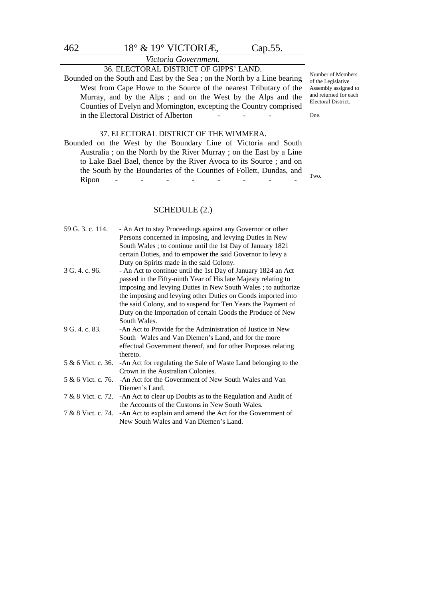# *Victoria Government.*

# 36. ELECTORAL DISTRICT OF GIPPS' LAND.

Bounded on the South and East by the Sea ; on the North by a Line bearing West from Cape Howe to the Source of the nearest Tributary of the Murray, and by the Alps ; and on the West by the Alps and the Counties of Evelyn and Mornington, excepting the Country comprised in the Electoral District of Alberton

#### 37. ELECTORAL DISTRICT OF THE WIMMERA.

Bounded on the West by the Boundary Line of Victoria and South Australia ; on the North by the River Murray ; on the East by a Line to Lake Bael Bael, thence by the River Avoca to its Source ; and on the South by the Boundaries of the Counties of Follett, Dundas, and Ripon - - - - - - - - - -

#### SCHEDULE (2.)

| 59 G. 3. c. 114.   | - An Act to stay Proceedings against any Governor or other                       |
|--------------------|----------------------------------------------------------------------------------|
|                    | Persons concerned in imposing, and levying Duties in New                         |
|                    | South Wales; to continue until the 1st Day of January 1821                       |
|                    | certain Duties, and to empower the said Governor to levy a                       |
|                    | Duty on Spirits made in the said Colony.                                         |
| 3 G. 4. c. 96.     | - An Act to continue until the 1st Day of January 1824 an Act                    |
|                    | passed in the Fifty-ninth Year of His late Majesty relating to                   |
|                    | imposing and levying Duties in New South Wales; to authorize                     |
|                    | the imposing and levying other Duties on Goods imported into                     |
|                    | the said Colony, and to suspend for Ten Years the Payment of                     |
|                    | Duty on the Importation of certain Goods the Produce of New                      |
|                    | South Wales.                                                                     |
| 9 G. 4. c. 83.     | -An Act to Provide for the Administration of Justice in New                      |
|                    | South Wales and Van Diemen's Land, and for the more                              |
|                    | effectual Government thereof, and for other Purposes relating                    |
|                    | thereto.                                                                         |
| 5 & 6 Vict. c. 36. | -An Act for regulating the Sale of Waste Land belonging to the                   |
|                    | Crown in the Australian Colonies.                                                |
| 5 & 6 Vict. c. 76. | -An Act for the Government of New South Wales and Van                            |
|                    | Diemen's Land.                                                                   |
|                    | 7 & 8 Vict. c. 72. - An Act to clear up Doubts as to the Regulation and Audit of |
|                    | the Accounts of the Customs in New South Wales.                                  |
|                    | 7 & 8 Vict. c. 74. - An Act to explain and amend the Act for the Government of   |
|                    | New South Wales and Van Diemen's Land.                                           |
|                    |                                                                                  |

Number of Members of the Legislative Assembly assigned to and returned for each Electoral District.

One.

Two.